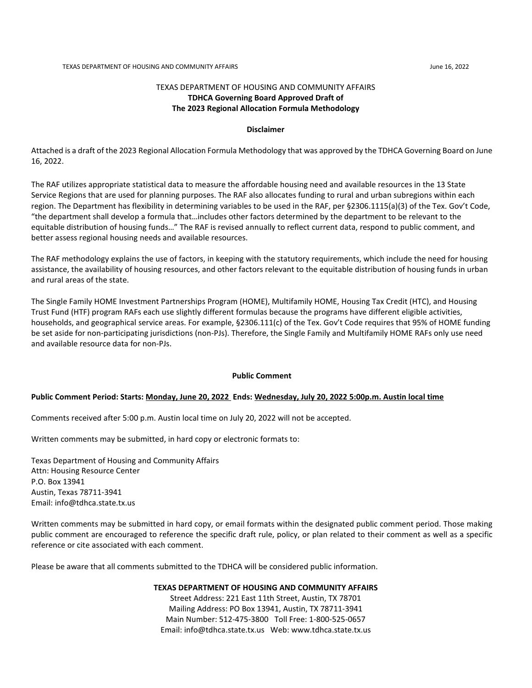#### TEXAS DEPARTMENT OF HOUSING AND COMMUNITY AFFAIRS **TDHCA Governing Board Approved Draft of The 2023 Regional Allocation Formula Methodology**

#### **Disclaimer**

Attached is a draft of the 2023 Regional Allocation Formula Methodology that was approved by the TDHCA Governing Board on June 16, 2022.

The RAF utilizes appropriate statistical data to measure the affordable housing need and available resources in the 13 State Service Regions that are used for planning purposes. The RAF also allocates funding to rural and urban subregions within each region. The Department has flexibility in determining variables to be used in the RAF, per §2306.1115(a)(3) of the Tex. Gov't Code, "the department shall develop a formula that…includes other factors determined by the department to be relevant to the equitable distribution of housing funds…" The RAF is revised annually to reflect current data, respond to public comment, and better assess regional housing needs and available resources.

The RAF methodology explains the use of factors, in keeping with the statutory requirements, which include the need for housing assistance, the availability of housing resources, and other factors relevant to the equitable distribution of housing funds in urban and rural areas of the state.

The Single Family HOME Investment Partnerships Program (HOME), Multifamily HOME, Housing Tax Credit (HTC), and Housing Trust Fund (HTF) program RAFs each use slightly different formulas because the programs have different eligible activities, households, and geographical service areas. For example, §2306.111(c) of the Tex. Gov't Code requires that 95% of HOME funding be set aside for non-participating jurisdictions (non-PJs). Therefore, the Single Family and Multifamily HOME RAFs only use need and available resource data for non-PJs.

#### **Public Comment**

#### **Public Comment Period: Starts: Monday, June 20, 2022 Ends: Wednesday, July 20, 2022 5:00p.m. Austin local time**

Comments received after 5:00 p.m. Austin local time on July 20, 2022 will not be accepted.

Written comments may be submitted, in hard copy or electronic formats to:

Texas Department of Housing and Community Affairs Attn: Housing Resource Center P.O. Box 13941 Austin, Texas 78711-3941 Email: info@tdhca.state.tx.us

Written comments may be submitted in hard copy, or email formats within the designated public comment period. Those making public comment are encouraged to reference the specific draft rule, policy, or plan related to their comment as well as a specific reference or cite associated with each comment.

Please be aware that all comments submitted to the TDHCA will be considered public information.

**TEXAS DEPARTMENT OF HOUSING AND COMMUNITY AFFAIRS**

Street Address: 221 East 11th Street, Austin, TX 78701 Mailing Address: PO Box 13941, Austin, TX 78711-3941 Main Number: 512-475-3800 Toll Free: 1-800-525-0657 Email: info@tdhca.state.tx.us Web: www.tdhca.state.tx.us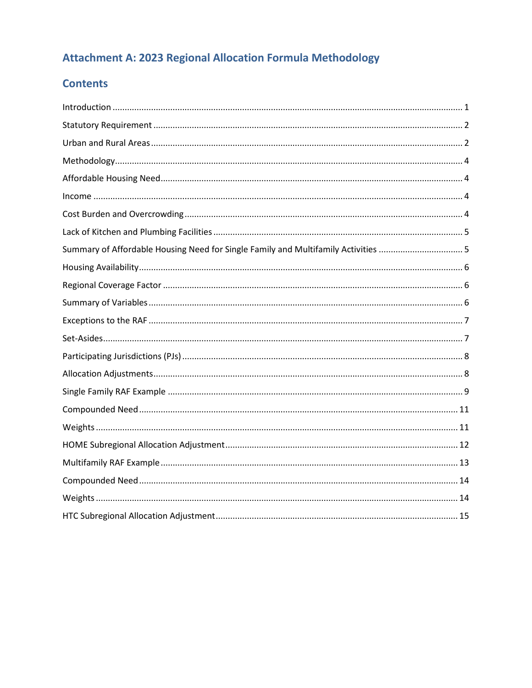# **Attachment A: 2023 Regional Allocation Formula Methodology**

# **Contents**

| Summary of Affordable Housing Need for Single Family and Multifamily Activities  5 |  |
|------------------------------------------------------------------------------------|--|
|                                                                                    |  |
|                                                                                    |  |
|                                                                                    |  |
|                                                                                    |  |
|                                                                                    |  |
|                                                                                    |  |
|                                                                                    |  |
|                                                                                    |  |
|                                                                                    |  |
|                                                                                    |  |
|                                                                                    |  |
|                                                                                    |  |
|                                                                                    |  |
|                                                                                    |  |
|                                                                                    |  |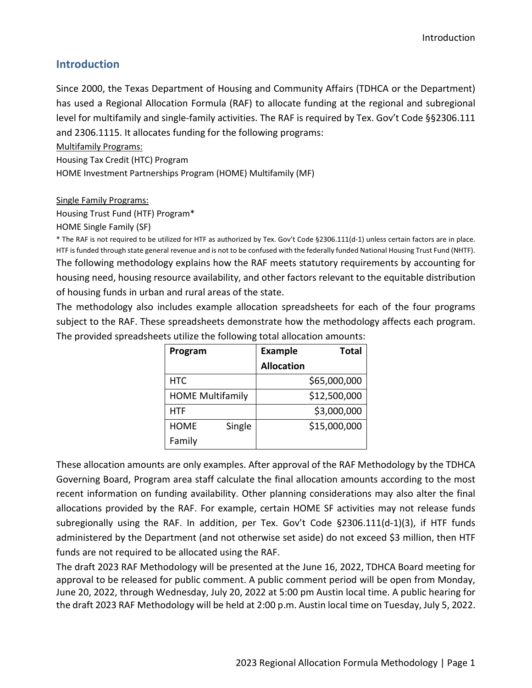### <span id="page-2-0"></span>**Introduction**

Since 2000, the Texas Department of Housing and Community Affairs (TDHCA or the Department) has used a Regional Allocation Formula (RAF) to allocate funding at the regional and subregional level for multifamily and single-family activities. The RAF is required by Tex. Gov't Code §§2306.111 and 2306.1115. It allocates funding for the following programs:

Multifamily Programs:

Housing Tax Credit (HTC) Program

HOME Investment Partnerships Program (HOME) Multifamily (MF)

Single Family Programs:

Housing Trust Fund (HTF) Program\*

HOME Single Family (SF)

\* The RAF is not required to be utilized for HTF as authorized by Tex. Gov't Code §2306.111(d-1) unless certain factors are in place. HTF is funded through state general revenue and is not to be confused with the federally funded National Housing Trust Fund (NHTF). The following methodology explains how the RAF meets statutory requirements by accounting for housing need, housing resource availability, and other factors relevant to the equitable distribution of housing funds in urban and rural areas of the state.

The methodology also includes example allocation spreadsheets for each of the four programs subject to the RAF. These spreadsheets demonstrate how the methodology affects each program. The provided spreadsheets utilize the following total allocation amounts:

| Program                 | <b>Example</b>    | <b>Total</b> |
|-------------------------|-------------------|--------------|
|                         | <b>Allocation</b> |              |
| <b>HTC</b>              |                   | \$65,000,000 |
| <b>HOME Multifamily</b> |                   | \$12,500,000 |
| HTF                     |                   | \$3,000,000  |
| <b>HOME</b><br>Single   |                   | \$15,000,000 |
| Family                  |                   |              |

These allocation amounts are only examples. After approval of the RAF Methodology by the TDHCA Governing Board, Program area staff calculate the final allocation amounts according to the most recent information on funding availability. Other planning considerations may also alter the final allocations provided by the RAF. For example, certain HOME SF activities may not release funds subregionally using the RAF. In addition, per Tex. Gov't Code §2306.111(d-1)(3), if HTF funds administered by the Department (and not otherwise set aside) do not exceed \$3 million, then HTF funds are not required to be allocated using the RAF.

The draft 2023 RAF Methodology will be presented at the June 16, 2022, TDHCA Board meeting for approval to be released for public comment. A public comment period will be open from Monday, June 20, 2022, through Wednesday, July 20, 2022 at 5:00 pm Austin local time. A public hearing for the draft 2023 RAF Methodology will be held at 2:00 p.m. Austin local time on Tuesday, July 5, 2022.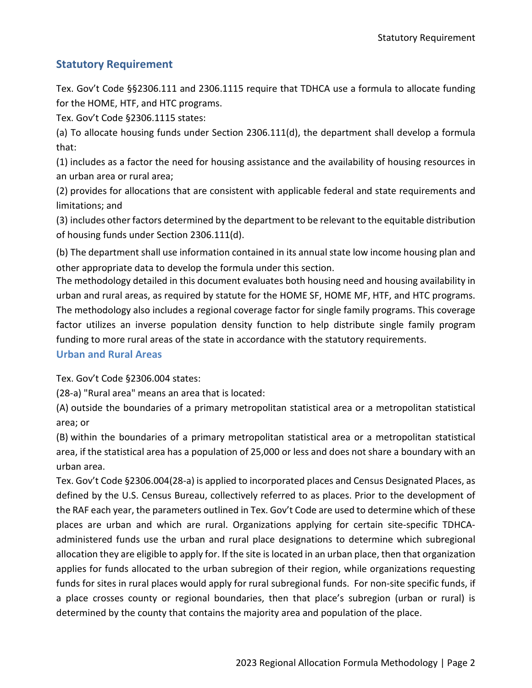### <span id="page-3-0"></span>**Statutory Requirement**

Tex. Gov't Code §§2306.111 and 2306.1115 require that TDHCA use a formula to allocate funding for the HOME, HTF, and HTC programs.

Tex. Gov't Code §2306.1115 states:

(a) To allocate housing funds under Section 2306.111(d), the department shall develop a formula that:

(1) includes as a factor the need for housing assistance and the availability of housing resources in an urban area or rural area;

(2) provides for allocations that are consistent with applicable federal and state requirements and limitations; and

(3) includes other factors determined by the department to be relevant to the equitable distribution of housing funds under Section 2306.111(d).

(b) The department shall use information contained in its annual state low income housing plan and other appropriate data to develop the formula under this section.

The methodology detailed in this document evaluates both housing need and housing availability in urban and rural areas, as required by statute for the HOME SF, HOME MF, HTF, and HTC programs. The methodology also includes a regional coverage factor for single family programs. This coverage factor utilizes an inverse population density function to help distribute single family program funding to more rural areas of the state in accordance with the statutory requirements.

### <span id="page-3-1"></span>**Urban and Rural Areas**

Tex. Gov't Code §2306.004 states:

(28-a) "Rural area" means an area that is located:

(A) outside the boundaries of a primary metropolitan statistical area or a metropolitan statistical area; or

(B) within the boundaries of a primary metropolitan statistical area or a metropolitan statistical area, if the statistical area has a population of 25,000 or less and does not share a boundary with an urban area.

Tex. Gov't Code §2306.004(28-a) is applied to incorporated places and Census Designated Places, as defined by the U.S. Census Bureau, collectively referred to as places. Prior to the development of the RAF each year, the parameters outlined in Tex. Gov't Code are used to determine which of these places are urban and which are rural. Organizations applying for certain site-specific TDHCAadministered funds use the urban and rural place designations to determine which subregional allocation they are eligible to apply for. If the site is located in an urban place, then that organization applies for funds allocated to the urban subregion of their region, while organizations requesting funds for sites in rural places would apply for rural subregional funds. For non-site specific funds, if a place crosses county or regional boundaries, then that place's subregion (urban or rural) is determined by the county that contains the majority area and population of the place.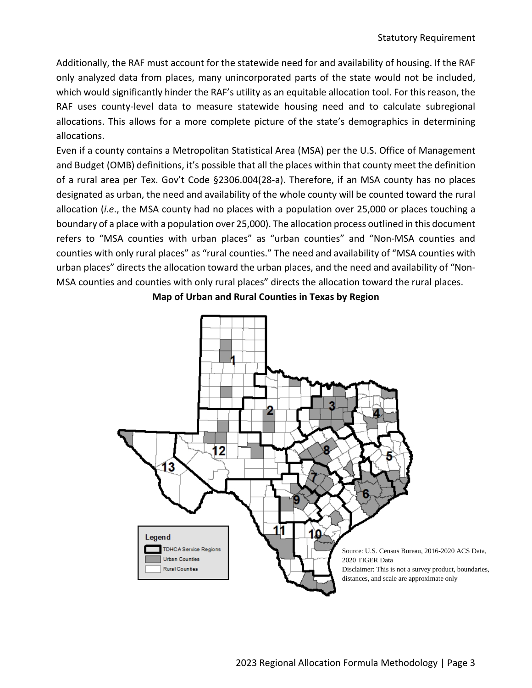Additionally, the RAF must account for the statewide need for and availability of housing. If the RAF only analyzed data from places, many unincorporated parts of the state would not be included, which would significantly hinder the RAF's utility as an equitable allocation tool. For this reason, the RAF uses county-level data to measure statewide housing need and to calculate subregional allocations. This allows for a more complete picture of the state's demographics in determining allocations.

Even if a county contains a Metropolitan Statistical Area (MSA) per the U.S. Office of Management and Budget (OMB) definitions, it's possible that all the places within that county meet the definition of a rural area per Tex. Gov't Code §2306.004(28-a). Therefore, if an MSA county has no places designated as urban, the need and availability of the whole county will be counted toward the rural allocation (*i.e*., the MSA county had no places with a population over 25,000 or places touching a boundary of a place with a population over 25,000). The allocation process outlined in this document refers to "MSA counties with urban places" as "urban counties" and "Non-MSA counties and counties with only rural places" as "rural counties." The need and availability of "MSA counties with urban places" directs the allocation toward the urban places, and the need and availability of "Non-MSA counties and counties with only rural places" directs the allocation toward the rural places.



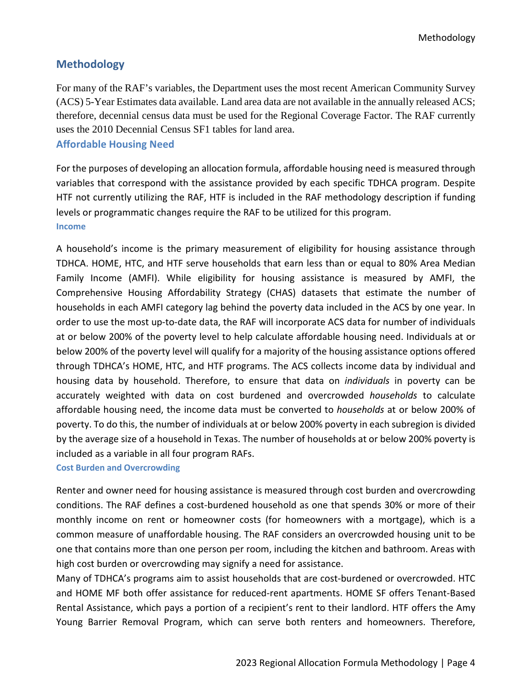### <span id="page-5-0"></span>**Methodology**

For many of the RAF's variables, the Department uses the most recent American Community Survey (ACS) 5-Year Estimates data available. Land area data are not available in the annually released ACS; therefore, decennial census data must be used for the Regional Coverage Factor. The RAF currently uses the 2010 Decennial Census SF1 tables for land area.

### <span id="page-5-1"></span>**Affordable Housing Need**

For the purposes of developing an allocation formula, affordable housing need is measured through variables that correspond with the assistance provided by each specific TDHCA program. Despite HTF not currently utilizing the RAF, HTF is included in the RAF methodology description if funding levels or programmatic changes require the RAF to be utilized for this program. **Income**

<span id="page-5-2"></span>A household's income is the primary measurement of eligibility for housing assistance through TDHCA. HOME, HTC, and HTF serve households that earn less than or equal to 80% Area Median Family Income (AMFI). While eligibility for housing assistance is measured by AMFI, the Comprehensive Housing Affordability Strategy (CHAS) datasets that estimate the number of households in each AMFI category lag behind the poverty data included in the ACS by one year. In order to use the most up-to-date data, the RAF will incorporate ACS data for number of individuals at or below 200% of the poverty level to help calculate affordable housing need. Individuals at or below 200% of the poverty level will qualify for a majority of the housing assistance options offered through TDHCA's HOME, HTC, and HTF programs. The ACS collects income data by individual and housing data by household. Therefore, to ensure that data on *individuals* in poverty can be accurately weighted with data on cost burdened and overcrowded *households* to calculate affordable housing need, the income data must be converted to *households* at or below 200% of poverty. To do this, the number of individuals at or below 200% poverty in each subregion is divided by the average size of a household in Texas. The number of households at or below 200% poverty is included as a variable in all four program RAFs.

### <span id="page-5-3"></span>**Cost Burden and Overcrowding**

Renter and owner need for housing assistance is measured through cost burden and overcrowding conditions. The RAF defines a cost-burdened household as one that spends 30% or more of their monthly income on rent or homeowner costs (for homeowners with a mortgage), which is a common measure of unaffordable housing. The RAF considers an overcrowded housing unit to be one that contains more than one person per room, including the kitchen and bathroom. Areas with high cost burden or overcrowding may signify a need for assistance.

Many of TDHCA's programs aim to assist households that are cost-burdened or overcrowded. HTC and HOME MF both offer assistance for reduced-rent apartments. HOME SF offers Tenant-Based Rental Assistance, which pays a portion of a recipient's rent to their landlord. HTF offers the Amy Young Barrier Removal Program, which can serve both renters and homeowners. Therefore,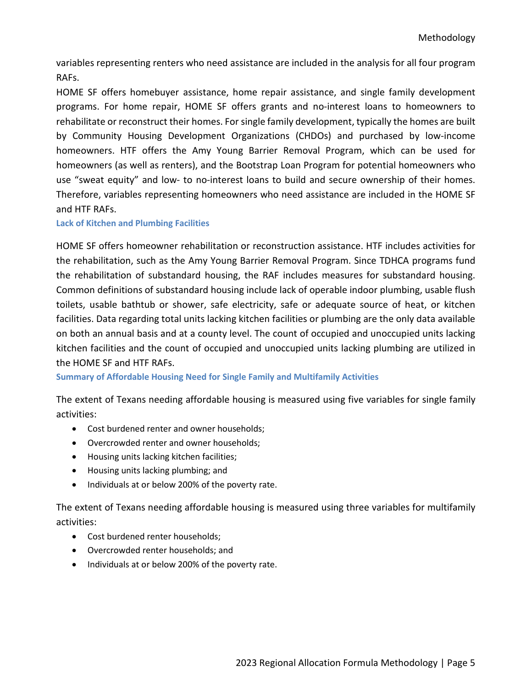variables representing renters who need assistance are included in the analysis for all four program RAFs.

HOME SF offers homebuyer assistance, home repair assistance, and single family development programs. For home repair, HOME SF offers grants and no-interest loans to homeowners to rehabilitate or reconstruct their homes. For single family development, typically the homes are built by Community Housing Development Organizations (CHDOs) and purchased by low-income homeowners. HTF offers the Amy Young Barrier Removal Program, which can be used for homeowners (as well as renters), and the Bootstrap Loan Program for potential homeowners who use "sweat equity" and low- to no-interest loans to build and secure ownership of their homes. Therefore, variables representing homeowners who need assistance are included in the HOME SF and HTF RAFs.

<span id="page-6-0"></span>**Lack of Kitchen and Plumbing Facilities** 

HOME SF offers homeowner rehabilitation or reconstruction assistance. HTF includes activities for the rehabilitation, such as the Amy Young Barrier Removal Program. Since TDHCA programs fund the rehabilitation of substandard housing, the RAF includes measures for substandard housing. Common definitions of substandard housing include lack of operable indoor plumbing, usable flush toilets, usable bathtub or shower, safe electricity, safe or adequate source of heat, or kitchen facilities. Data regarding total units lacking kitchen facilities or plumbing are the only data available on both an annual basis and at a county level. The count of occupied and unoccupied units lacking kitchen facilities and the count of occupied and unoccupied units lacking plumbing are utilized in the HOME SF and HTF RAFs.

<span id="page-6-1"></span>**Summary of Affordable Housing Need for Single Family and Multifamily Activities**

The extent of Texans needing affordable housing is measured using five variables for single family activities:

- Cost burdened renter and owner households;
- Overcrowded renter and owner households;
- Housing units lacking kitchen facilities;
- Housing units lacking plumbing; and
- Individuals at or below 200% of the poverty rate.

The extent of Texans needing affordable housing is measured using three variables for multifamily activities:

- Cost burdened renter households;
- Overcrowded renter households; and
- Individuals at or below 200% of the poverty rate.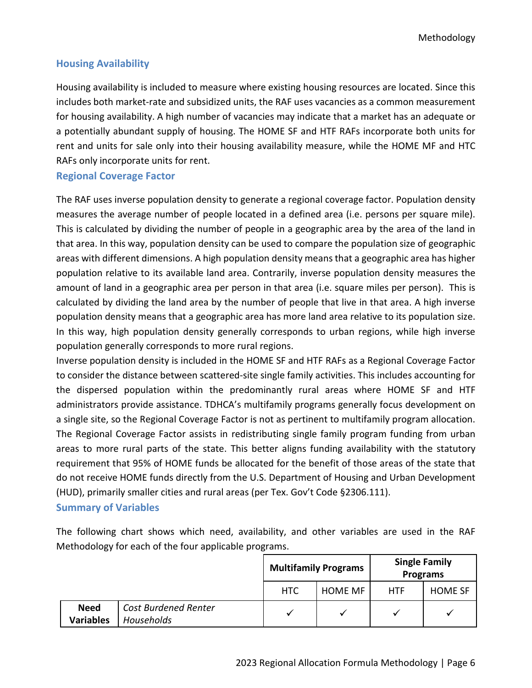Methodology

### <span id="page-7-0"></span>**Housing Availability**

Housing availability is included to measure where existing housing resources are located. Since this includes both market-rate and subsidized units, the RAF uses vacancies as a common measurement for housing availability. A high number of vacancies may indicate that a market has an adequate or a potentially abundant supply of housing. The HOME SF and HTF RAFs incorporate both units for rent and units for sale only into their housing availability measure, while the HOME MF and HTC RAFs only incorporate units for rent.

#### <span id="page-7-1"></span>**Regional Coverage Factor**

The RAF uses inverse population density to generate a regional coverage factor. Population density measures the average number of people located in a defined area (i.e. persons per square mile). This is calculated by dividing the number of people in a geographic area by the area of the land in that area. In this way, population density can be used to compare the population size of geographic areas with different dimensions. A high population density means that a geographic area has higher population relative to its available land area. Contrarily, inverse population density measures the amount of land in a geographic area per person in that area (i.e. square miles per person). This is calculated by dividing the land area by the number of people that live in that area. A high inverse population density means that a geographic area has more land area relative to its population size. In this way, high population density generally corresponds to urban regions, while high inverse population generally corresponds to more rural regions.

Inverse population density is included in the HOME SF and HTF RAFs as a Regional Coverage Factor to consider the distance between scattered-site single family activities. This includes accounting for the dispersed population within the predominantly rural areas where HOME SF and HTF administrators provide assistance. TDHCA's multifamily programs generally focus development on a single site, so the Regional Coverage Factor is not as pertinent to multifamily program allocation. The Regional Coverage Factor assists in redistributing single family program funding from urban areas to more rural parts of the state. This better aligns funding availability with the statutory requirement that 95% of HOME funds be allocated for the benefit of those areas of the state that do not receive HOME funds directly from the U.S. Department of Housing and Urban Development (HUD), primarily smaller cities and rural areas (per Tex. Gov't Code §2306.111).

### <span id="page-7-2"></span>**Summary of Variables**

The following chart shows which need, availability, and other variables are used in the RAF Methodology for each of the four applicable programs.

|                                 |                                                  | <b>Multifamily Programs</b> |                | <b>Single Family</b><br><b>Programs</b> |                |
|---------------------------------|--------------------------------------------------|-----------------------------|----------------|-----------------------------------------|----------------|
|                                 |                                                  | <b>HTC</b>                  | <b>HOME MF</b> | HTF                                     | <b>HOME SF</b> |
| <b>Need</b><br><b>Variables</b> | <b>Cost Burdened Renter</b><br><b>Households</b> |                             |                |                                         |                |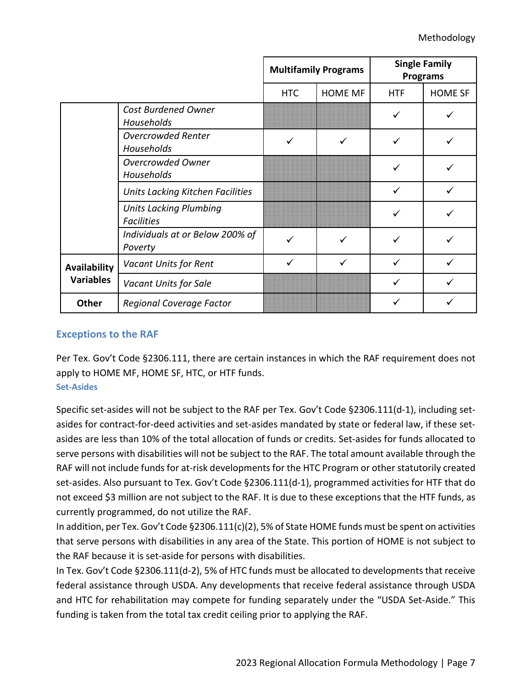|                     |                                                    |            | <b>Multifamily Programs</b> | <b>Single Family</b><br><b>Programs</b> |                |  |
|---------------------|----------------------------------------------------|------------|-----------------------------|-----------------------------------------|----------------|--|
|                     |                                                    | <b>HTC</b> | <b>HOME MF</b>              | <b>HTF</b>                              | <b>HOME SF</b> |  |
|                     | <b>Cost Burdened Owner</b><br>Households           |            |                             |                                         |                |  |
|                     | <b>Overcrowded Renter</b><br>Households            | ✓          | ✓                           | ✓                                       |                |  |
|                     | <b>Overcrowded Owner</b><br>Households             |            |                             |                                         |                |  |
|                     | Units Lacking Kitchen Facilities                   |            |                             |                                         |                |  |
|                     | <b>Units Lacking Plumbing</b><br><b>Facilities</b> |            |                             | ✓                                       |                |  |
|                     | Individuals at or Below 200% of<br>Poverty         |            |                             |                                         |                |  |
| <b>Availability</b> | Vacant Units for Rent                              |            | ✓                           | ✓                                       |                |  |
| <b>Variables</b>    | Vacant Units for Sale                              |            |                             | ✓                                       |                |  |
| <b>Other</b>        | <b>Regional Coverage Factor</b>                    |            |                             |                                         |                |  |

### <span id="page-8-0"></span>**Exceptions to the RAF**

Per Tex. Gov't Code §2306.111, there are certain instances in which the RAF requirement does not apply to HOME MF, HOME SF, HTC, or HTF funds.

#### <span id="page-8-1"></span>**Set-Asides**

Specific set-asides will not be subject to the RAF per Tex. Gov't Code §2306.111(d-1), including setasides for contract-for-deed activities and set-asides mandated by state or federal law, if these setasides are less than 10% of the total allocation of funds or credits. Set-asides for funds allocated to serve persons with disabilities will not be subject to the RAF. The total amount available through the RAF will not include funds for at-risk developments for the HTC Program or other statutorily created set-asides. Also pursuant to Tex. Gov't Code §2306.111(d-1), programmed activities for HTF that do not exceed \$3 million are not subject to the RAF. It is due to these exceptions that the HTF funds, as currently programmed, do not utilize the RAF.

In addition, per Tex. Gov't Code §2306.111(c)(2), 5% of State HOME funds must be spent on activities that serve persons with disabilities in any area of the State. This portion of HOME is not subject to the RAF because it is set-aside for persons with disabilities.

In Tex. Gov't Code §2306.111(d-2), 5% of HTC funds must be allocated to developments that receive federal assistance through USDA. Any developments that receive federal assistance through USDA and HTC for rehabilitation may compete for funding separately under the "USDA Set-Aside." This funding is taken from the total tax credit ceiling prior to applying the RAF.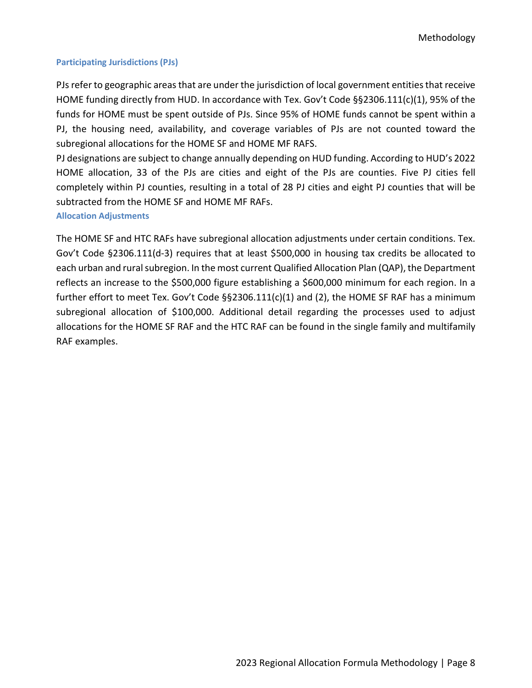#### <span id="page-9-0"></span>**Participating Jurisdictions (PJs)**

PJs refer to geographic areas that are under the jurisdiction of local government entities that receive HOME funding directly from HUD. In accordance with Tex. Gov't Code §§2306.111(c)(1), 95% of the funds for HOME must be spent outside of PJs. Since 95% of HOME funds cannot be spent within a PJ, the housing need, availability, and coverage variables of PJs are not counted toward the subregional allocations for the HOME SF and HOME MF RAFS.

PJ designations are subject to change annually depending on HUD funding. According to HUD's 2022 HOME allocation, 33 of the PJs are cities and eight of the PJs are counties. Five PJ cities fell completely within PJ counties, resulting in a total of 28 PJ cities and eight PJ counties that will be subtracted from the HOME SF and HOME MF RAFs.

<span id="page-9-1"></span>**Allocation Adjustments**

The HOME SF and HTC RAFs have subregional allocation adjustments under certain conditions. Tex. Gov't Code §2306.111(d-3) requires that at least \$500,000 in housing tax credits be allocated to each urban and rural subregion. In the most current Qualified Allocation Plan (QAP), the Department reflects an increase to the \$500,000 figure establishing a \$600,000 minimum for each region. In a further effort to meet Tex. Gov't Code §§2306.111(c)(1) and (2), the HOME SF RAF has a minimum subregional allocation of \$100,000. Additional detail regarding the processes used to adjust allocations for the HOME SF RAF and the HTC RAF can be found in the single family and multifamily RAF examples.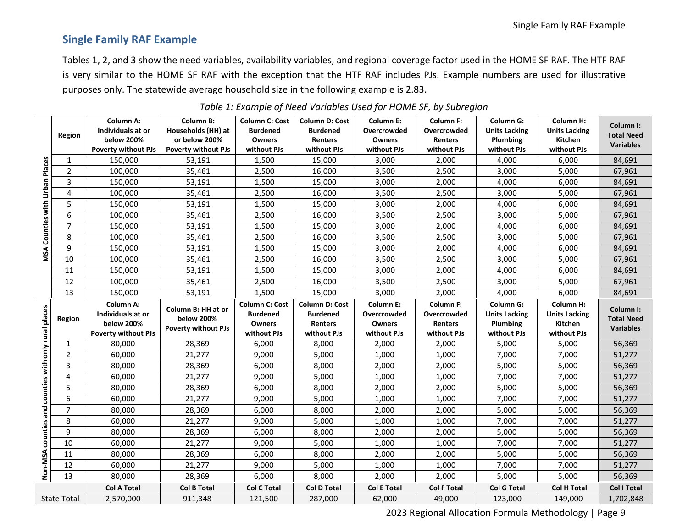## **Single Family RAF Example**

Tables 1, 2, and 3 show the need variables, availability variables, and regional coverage factor used in the HOME SF RAF. The HTF RAF is very similar to the HOME SF RAF with the exception that the HTF RAF includes PJs. Example numbers are used for illustrative purposes only. The statewide average household size in the following example is 2.83.

<span id="page-10-0"></span>

|                                 |                 | <b>Column A:</b>                                    | <b>Column B:</b>                        | <b>Column C: Cost</b>                                     | <b>Column D: Cost</b>                               | <b>Column E:</b>                          | <b>Column F:</b>                                  | <b>Column G:</b>                              | <b>Column H:</b>                             |                                |
|---------------------------------|-----------------|-----------------------------------------------------|-----------------------------------------|-----------------------------------------------------------|-----------------------------------------------------|-------------------------------------------|---------------------------------------------------|-----------------------------------------------|----------------------------------------------|--------------------------------|
|                                 | Region          | Individuals at or                                   | Households (HH) at                      | <b>Burdened</b>                                           | <b>Burdened</b>                                     | Overcrowded                               | Overcrowded                                       | <b>Units Lacking</b>                          | <b>Units Lacking</b>                         | Column I:<br><b>Total Need</b> |
|                                 |                 | below 200%                                          | or below 200%                           | <b>Owners</b>                                             | Renters                                             | <b>Owners</b>                             | Renters                                           | Plumbing                                      | Kitchen                                      | <b>Variables</b>               |
|                                 |                 | <b>Poverty without PJs</b>                          | <b>Poverty without PJs</b>              | without PJs                                               | without PJs                                         | without PJs                               | without PJs                                       | without PJs                                   | without PJs                                  |                                |
|                                 | $\mathbf{1}$    | 150,000                                             | 53,191                                  | 1,500                                                     | 15,000                                              | 3,000                                     | 2,000                                             | 4,000                                         | 6,000                                        | 84,691                         |
|                                 | $\overline{2}$  | 100,000                                             | 35,461                                  | 2,500                                                     | 16,000                                              | 3,500                                     | 2,500                                             | 3,000                                         | 5,000                                        | 67,961                         |
|                                 | 3               | 150,000                                             | 53,191                                  | 1,500                                                     | 15,000                                              | 3,000                                     | 2,000                                             | 4,000                                         | 6,000                                        | 84,691                         |
|                                 | 4               | 100,000                                             | 35,461                                  | 2,500                                                     | 16,000                                              | 3,500                                     | 2,500                                             | 3,000                                         | 5,000                                        | 67,961                         |
|                                 | 5               | 150,000                                             | 53,191                                  | 1,500                                                     | 15,000                                              | 3,000                                     | 2,000                                             | 4,000                                         | 6,000                                        | 84,691                         |
|                                 | 6               | 100,000                                             | 35,461                                  | 2,500                                                     | 16,000                                              | 3,500                                     | 2,500                                             | 3,000                                         | 5,000                                        | 67,961                         |
| Counties with Urban Places      | $\overline{7}$  | 150,000                                             | 53,191                                  | 1,500                                                     | 15,000                                              | 3,000                                     | 2,000                                             | 4,000                                         | 6,000                                        | 84,691                         |
|                                 | 8               | 100,000                                             | 35,461                                  | 2,500                                                     | 16,000                                              | 3,500                                     | 2,500                                             | 3,000                                         | 5,000                                        | 67,961                         |
| MSA                             | 9               | 150,000                                             | 53,191                                  | 1,500                                                     | 15,000                                              | 3,000                                     | 2,000                                             | 4,000                                         | 6,000                                        | 84,691                         |
|                                 | 10              | 100,000                                             | 35,461                                  | 2,500                                                     | 16,000                                              | 3,500                                     | 2,500                                             | 3,000                                         | 5,000                                        | 67,961                         |
|                                 | 11              | 150,000                                             | 53,191                                  | 1,500                                                     | 15,000                                              | 3,000                                     | 2,000                                             | 4,000                                         | 6,000                                        | 84,691                         |
|                                 | 12              | 100,000                                             | 35,461                                  | 2,500                                                     | 16,000                                              | 3,500                                     | 2,500                                             | 3,000                                         | 5,000                                        | 67,961                         |
|                                 | 13              | 150,000                                             | 53,191                                  | 1,500                                                     | 15,000                                              | 3,000                                     | 2,000                                             | 4,000                                         | 6,000                                        | 84,691                         |
|                                 | <b>Region</b>   | Column A:<br>Individuals at or<br><b>below 200%</b> | Column B: HH at or<br><b>below 200%</b> | <b>Column C: Cost</b><br><b>Burdened</b><br><b>Owners</b> | <b>Column D: Cost</b><br><b>Burdened</b><br>Renters | Column E:<br>Overcrowded<br><b>Owners</b> | <b>Column F:</b><br>Overcrowded<br><b>Renters</b> | Column G:<br><b>Units Lacking</b><br>Plumbing | Column H:<br><b>Units Lacking</b><br>Kitchen | Column I:<br><b>Total Need</b> |
|                                 |                 | <b>Poverty without PJs</b>                          | <b>Poverty without PJs</b>              | without PJs                                               | without PJs                                         | without PJs                               | without PJs                                       | without PJs                                   | without PJs                                  | <b>Variables</b>               |
|                                 | $\mathbf{1}$    | 80,000                                              | 28,369                                  | 6,000                                                     | 8,000                                               | 2,000                                     | 2,000                                             | 5,000                                         | 5,000                                        | 56,369                         |
|                                 | $\overline{2}$  | 60,000                                              |                                         |                                                           |                                                     |                                           |                                                   |                                               |                                              |                                |
|                                 |                 |                                                     | 21,277                                  | 9,000                                                     | 5,000                                               | 1,000                                     | 1,000                                             | 7,000                                         | 7,000                                        |                                |
|                                 | 3               | 80,000                                              |                                         | 6,000                                                     | 8,000                                               | 2,000                                     | 2,000                                             |                                               | 5,000                                        | 51,277                         |
|                                 | 4               | 60,000                                              | 28,369<br>21,277                        | 9,000                                                     | 5,000                                               | 1,000                                     | 1,000                                             | 5,000<br>7,000                                | 7,000                                        | 56,369<br>51,277               |
|                                 | 5               | 80,000                                              | 28,369                                  | 6,000                                                     | 8,000                                               | 2,000                                     | 2,000                                             | 5,000                                         | 5,000                                        | 56,369                         |
|                                 | 6               | 60,000                                              | 21,277                                  | 9,000                                                     | 5,000                                               | 1,000                                     | 1,000                                             | 7,000                                         | 7,000                                        | 51,277                         |
| counties with only rural places | 7               | 80,000                                              | 28,369                                  | 6,000                                                     | 8,000                                               | 2,000                                     | 2,000                                             | 5,000                                         | 5,000                                        | 56,369                         |
|                                 | 8               | 60,000                                              | 21,277                                  | 9,000                                                     | 5,000                                               | 1,000                                     | 1,000                                             | 7,000                                         | 7,000                                        | 51,277                         |
|                                 | 9               | 80,000                                              | 28,369                                  | 6,000                                                     | 8,000                                               | 2,000                                     | 2,000                                             | 5,000                                         | 5,000                                        | 56,369                         |
| counties and                    | 10              | 60,000                                              | 21,277                                  | 9,000                                                     | 5,000                                               | 1,000                                     | 1,000                                             | 7,000                                         | 7,000                                        | 51,277                         |
|                                 | 11              | 80,000                                              | 28,369                                  | 6,000                                                     | 8,000                                               | 2,000                                     | 2,000                                             | 5,000                                         | 5,000                                        | 56,369                         |
|                                 | $\overline{12}$ | 60,000                                              | 21,277                                  | 9,000                                                     | 5,000                                               | 1,000                                     | 1,000                                             | 7,000                                         | 7,000                                        | 51,277                         |
| Non-MSA                         | 13              | 80,000                                              | 28,369                                  | 6,000                                                     | 8,000                                               | 2,000                                     | 2,000                                             | 5,000                                         | 5,000                                        | 56,369                         |
|                                 |                 | <b>Col A Total</b>                                  | <b>Col B Total</b>                      | <b>Col C Total</b>                                        | <b>Col D Total</b>                                  | <b>Col E Total</b>                        | <b>Col F Total</b>                                | <b>Col G Total</b>                            | <b>Col H Total</b>                           | <b>Col I Total</b>             |

*Table 1: Example of Need Variables Used for HOME SF, by Subregion*

2023 Regional Allocation Formula Methodology | Page 9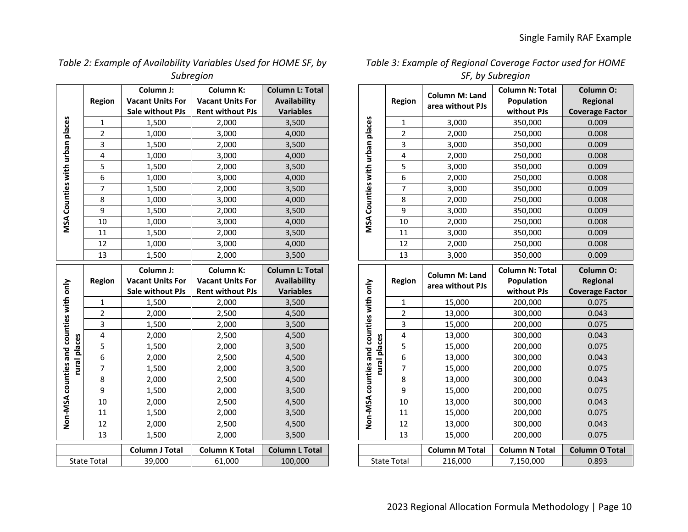| Table 2: Example of Availability Variables Used for HOME SF, by |
|-----------------------------------------------------------------|
| Subregion                                                       |

|                                         |                | Column J:               | Column K:               | <b>Column L: Total</b> |  |
|-----------------------------------------|----------------|-------------------------|-------------------------|------------------------|--|
|                                         | <b>Region</b>  | <b>Vacant Units For</b> | <b>Vacant Units For</b> | <b>Availability</b>    |  |
|                                         |                | Sale without PJs        | <b>Rent without PJs</b> | <b>Variables</b>       |  |
|                                         | $\mathbf{1}$   | 1,500                   | 2,000                   | 3,500                  |  |
|                                         | 2              | 1,000                   | 3,000                   | 4,000                  |  |
|                                         | 3              | 1,500                   | 2,000                   | 3,500                  |  |
|                                         | 4              | 1,000                   | 3,000                   | 4,000                  |  |
| MSA Counties with urban places          | 5              | 1,500                   | 2,000                   | 3,500                  |  |
|                                         | 6              | 1,000                   | 3,000                   | 4,000                  |  |
|                                         | 7              | 1,500                   | 2,000                   | 3,500                  |  |
|                                         | 8              | 1,000                   | 3,000                   | 4,000                  |  |
|                                         | 9              | 1,500                   | 2,000                   | 3,500                  |  |
|                                         | 10             | 1,000                   | 3,000                   | 4,000                  |  |
|                                         | 11             | 1,500                   | 2,000                   | 3,500                  |  |
|                                         | 12             | 1,000                   | 3,000                   | 4,000                  |  |
|                                         | 13             | 1,500                   | 2,000                   | 3,500                  |  |
|                                         |                | Column J:               | Column K:               | <b>Column L: Total</b> |  |
|                                         |                |                         |                         |                        |  |
|                                         | <b>Region</b>  | <b>Vacant Units For</b> | <b>Vacant Units For</b> | Availability           |  |
|                                         |                | Sale without PJs        | <b>Rent without PJs</b> | <b>Variables</b>       |  |
|                                         | $\mathbf{1}$   | 1,500                   | 2,000                   | 3,500                  |  |
|                                         | $\overline{2}$ | 2,000                   | 2,500                   | 4,500                  |  |
|                                         | 3              | 1,500                   | 2,000                   | 3,500                  |  |
|                                         | 4              | 2,000                   | 2,500                   | 4,500                  |  |
|                                         | 5              | 1,500                   | 2,000                   | 3,500                  |  |
|                                         | 6              | 2,000                   | 2,500                   | 4,500                  |  |
|                                         | 7              | 1,500                   | 2,000                   | 3,500                  |  |
| rural places                            | 8              | 2,000                   | 2,500                   | 4,500                  |  |
|                                         | 9              | 1,500                   | 2,000                   | 3,500                  |  |
|                                         | 10             | 2,000                   | 2,500                   | 4,500                  |  |
|                                         | 11             | 1,500                   | 2,000                   | 3,500                  |  |
| Non-MSA counties and counties with only | 12             | 2,000                   | 2,500                   | 4,500                  |  |
|                                         | 13             | 1,500                   | 2,000                   | 3,500                  |  |
|                                         |                | <b>Column J Total</b>   | <b>Column K Total</b>   | <b>Column L Total</b>  |  |

| Table 3: Example of Regional Coverage Factor used for HOME |
|------------------------------------------------------------|
| SF, by Subregion                                           |

|                                         |                         | Column M: Land   | <b>Column N: Total</b> | Column O:              |
|-----------------------------------------|-------------------------|------------------|------------------------|------------------------|
|                                         | <b>Region</b>           | area without PJs | Population             | <b>Regional</b>        |
|                                         |                         |                  | without PJs            | <b>Coverage Factor</b> |
|                                         | 1                       | 3,000            | 350,000                | 0.009                  |
|                                         | $\overline{c}$          | 2,000            | 250,000                | 0.008                  |
|                                         | 3                       | 3,000            | 350,000                | 0.009                  |
|                                         | 4                       | 2,000            | 250,000                | 0.008                  |
|                                         | 5                       | 3,000            | 350,000                | 0.009                  |
|                                         | 6                       | 2,000            | 250,000                | 0.008                  |
|                                         | $\overline{7}$          | 3,000            | 350,000                | 0.009                  |
| MSA Counties with urban places          | 8                       | 2,000            | 250,000                | 0.008                  |
|                                         | 9                       | 3,000            | 350,000                | 0.009                  |
|                                         | 10                      | 2,000            | 250,000                | 0.008                  |
|                                         | 11                      | 3,000            | 350,000                | 0.009                  |
|                                         | 12                      | 2,000            | 250,000                | 0.008                  |
|                                         | 13                      | 3,000            | 350,000                | 0.009                  |
|                                         |                         |                  |                        |                        |
|                                         |                         |                  | <b>Column N: Total</b> | Column O:              |
|                                         | <b>Region</b>           | Column M: Land   | Population             | <b>Regional</b>        |
|                                         |                         | area without PJs | without PJs            | <b>Coverage Factor</b> |
|                                         | $\mathbf{1}$            | 15,000           | 200,000                | 0.075                  |
|                                         | $\overline{\mathbf{c}}$ | 13,000           | 300,000                | 0.043                  |
|                                         | 3                       | 15,000           | 200,000                | 0.075                  |
|                                         | 4                       | 13,000           | 300,000                | 0.043                  |
|                                         | 5                       | 15,000           | 200,000                | 0.075                  |
|                                         | 6                       | 13,000           | 300,000                | 0.043                  |
|                                         | 7                       | 15,000           | 200,000                | 0.075                  |
| rural places                            | 8                       | 13,000           | 300,000                | 0.043                  |
|                                         | 9                       | 15,000           | 200,000                | 0.075                  |
|                                         | 10                      | 13,000           | 300,000                | 0.043                  |
|                                         | 11                      | 15,000           | 200,000                | 0.075                  |
| Non-MSA counties and counties with only | 12                      | 13,000           | 300,000                | 0.043                  |

|  | ⊥⊃                 | LJ,UUU                | ZUU,UUU               | <u>U.UTJ</u>          |  |  |  |
|--|--------------------|-----------------------|-----------------------|-----------------------|--|--|--|
|  |                    |                       |                       |                       |  |  |  |
|  |                    | <b>Column M Total</b> | <b>Column N Total</b> | <b>Column O Total</b> |  |  |  |
|  | <b>State Total</b> | 216.000               | 7.150.000             | 0.893                 |  |  |  |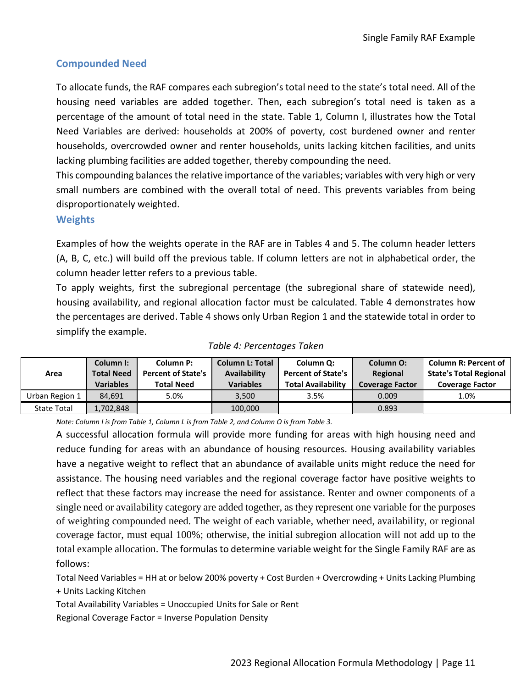### <span id="page-12-0"></span>**Compounded Need**

To allocate funds, the RAF compares each subregion's total need to the state's total need. All of the housing need variables are added together. Then, each subregion's total need is taken as a percentage of the amount of total need in the state. Table 1, Column I, illustrates how the Total Need Variables are derived: households at 200% of poverty, cost burdened owner and renter households, overcrowded owner and renter households, units lacking kitchen facilities, and units lacking plumbing facilities are added together, thereby compounding the need.

This compounding balances the relative importance of the variables; variables with very high or very small numbers are combined with the overall total of need. This prevents variables from being disproportionately weighted.

### <span id="page-12-1"></span>**Weights**

Examples of how the weights operate in the RAF are in Tables 4 and 5. The column header letters (A, B, C, etc.) will build off the previous table. If column letters are not in alphabetical order, the column header letter refers to a previous table.

To apply weights, first the subregional percentage (the subregional share of statewide need), housing availability, and regional allocation factor must be calculated. Table 4 demonstrates how the percentages are derived. Table 4 shows only Urban Region 1 and the statewide total in order to simplify the example.

|                    | Column I:         | Column P:                 | <b>Column L: Total</b> | Column Q:                 | <b>Column O:</b>       | <b>Column R: Percent of</b>   |
|--------------------|-------------------|---------------------------|------------------------|---------------------------|------------------------|-------------------------------|
| Area               | <b>Total Need</b> | <b>Percent of State's</b> | Availability           | <b>Percent of State's</b> | Regional               | <b>State's Total Regional</b> |
|                    | <b>Variables</b>  | <b>Total Need</b>         | <b>Variables</b>       | <b>Total Availability</b> | <b>Coverage Factor</b> | <b>Coverage Factor</b>        |
| Urban Region 1     | 84.691            | 5.0%                      | 3.500                  | 3.5%                      | 0.009                  | 1.0%                          |
| <b>State Total</b> | 1,702,848         |                           | 100,000                |                           | 0.893                  |                               |

### *Table 4: Percentages Taken*

*Note: Column I is from Table 1, Column L is from Table 2, and Column O is from Table 3.*

A successful allocation formula will provide more funding for areas with high housing need and reduce funding for areas with an abundance of housing resources. Housing availability variables have a negative weight to reflect that an abundance of available units might reduce the need for assistance. The housing need variables and the regional coverage factor have positive weights to reflect that these factors may increase the need for assistance. Renter and owner components of a single need or availability category are added together, as they represent one variable for the purposes of weighting compounded need. The weight of each variable, whether need, availability, or regional coverage factor, must equal 100%; otherwise, the initial subregion allocation will not add up to the total example allocation. The formulas to determine variable weight for the Single Family RAF are as follows:

Total Need Variables = HH at or below 200% poverty + Cost Burden + Overcrowding + Units Lacking Plumbing

+ Units Lacking Kitchen

Total Availability Variables = Unoccupied Units for Sale or Rent

Regional Coverage Factor = Inverse Population Density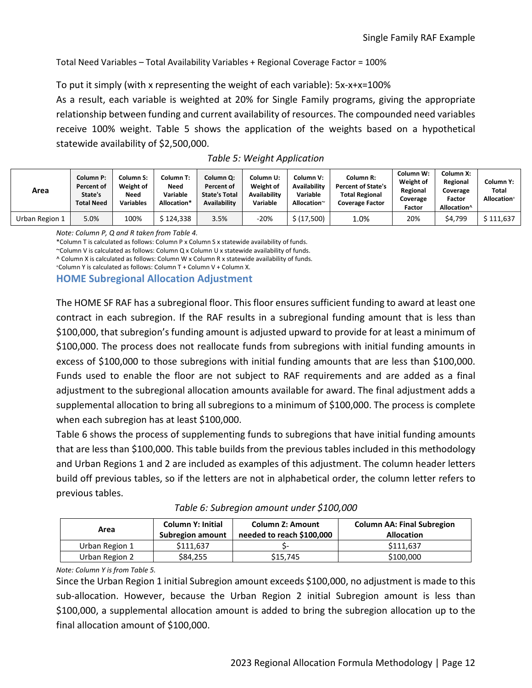Total Need Variables – Total Availability Variables + Regional Coverage Factor = 100%

To put it simply (with x representing the weight of each variable): 5x-x+x=100% As a result, each variable is weighted at 20% for Single Family programs, giving the appropriate relationship between funding and current availability of resources. The compounded need variables receive 100% weight. Table 5 shows the application of the weights based on a hypothetical statewide availability of \$2,500,000.

| Area           | <b>Column P:</b><br>Percent of<br>State's<br><b>Total Need</b> | Column S:<br>Weight of<br><b>Need</b><br><b>Variables</b> | Column T:<br>Need<br>Variable<br>Allocation* | Column Q:<br>Percent of<br><b>State's Total</b><br><b>Availability</b> | Column U:<br>Weight of<br><b>Availability</b><br>Variable | Column V:<br>Availability<br>Variable<br>Allocation~ | Column R:<br><b>Percent of State's</b><br><b>Total Regional</b><br><b>Coverage Factor</b> | Column W:<br>Weight of<br>Regional<br>Coverage<br>Factor | Column X:<br>Regional<br>Coverage<br>Factor<br>Allocation^ | Column Y:<br>Total<br><b>Allocation</b> <sup>+</sup> |
|----------------|----------------------------------------------------------------|-----------------------------------------------------------|----------------------------------------------|------------------------------------------------------------------------|-----------------------------------------------------------|------------------------------------------------------|-------------------------------------------------------------------------------------------|----------------------------------------------------------|------------------------------------------------------------|------------------------------------------------------|
| Urban Region 1 | 5.0%                                                           | 100%                                                      | \$ 124.338                                   | 3.5%                                                                   | $-20%$                                                    | \$ (17,500)                                          | 1.0%                                                                                      | 20%                                                      | \$4.799                                                    | \$111.637                                            |

*Note: Column P, Q and R taken from Table 4.* 

\*Column T is calculated as follows: Column P x Column S x statewide availability of funds.

~Column V is calculated as follows: Column Q x Column U x statewide availability of funds.

^ Column X is calculated as follows: Column W x Column R x statewide availability of funds.

+Column Y is calculated as follows: Column T + Column V + Column X.

<span id="page-13-0"></span>**HOME Subregional Allocation Adjustment**

The HOME SF RAF has a subregional floor. This floor ensures sufficient funding to award at least one contract in each subregion. If the RAF results in a subregional funding amount that is less than \$100,000, that subregion's funding amount is adjusted upward to provide for at least a minimum of \$100,000. The process does not reallocate funds from subregions with initial funding amounts in excess of \$100,000 to those subregions with initial funding amounts that are less than \$100,000. Funds used to enable the floor are not subject to RAF requirements and are added as a final adjustment to the subregional allocation amounts available for award. The final adjustment adds a supplemental allocation to bring all subregions to a minimum of \$100,000. The process is complete when each subregion has at least \$100,000.

Table 6 shows the process of supplementing funds to subregions that have initial funding amounts that are less than \$100,000. This table builds from the previous tables included in this methodology and Urban Regions 1 and 2 are included as examples of this adjustment. The column header letters build off previous tables, so if the letters are not in alphabetical order, the column letter refers to previous tables.

| Area           | <b>Column Y: Initial</b><br>Subregion amount | <b>Column Z: Amount</b><br>needed to reach \$100,000 | <b>Column AA: Final Subregion</b><br><b>Allocation</b> |  |  |  |
|----------------|----------------------------------------------|------------------------------------------------------|--------------------------------------------------------|--|--|--|
| Urban Region 1 | \$111,637                                    |                                                      | \$111.637                                              |  |  |  |
| Urban Region 2 | \$84,255                                     | \$15,745                                             | \$100,000                                              |  |  |  |

*Table 6: Subregion amount under \$100,000*

*Note: Column Y is from Table 5.*

Since the Urban Region 1 initial Subregion amount exceeds \$100,000, no adjustment is made to this sub-allocation. However, because the Urban Region 2 initial Subregion amount is less than \$100,000, a supplemental allocation amount is added to bring the subregion allocation up to the final allocation amount of \$100,000.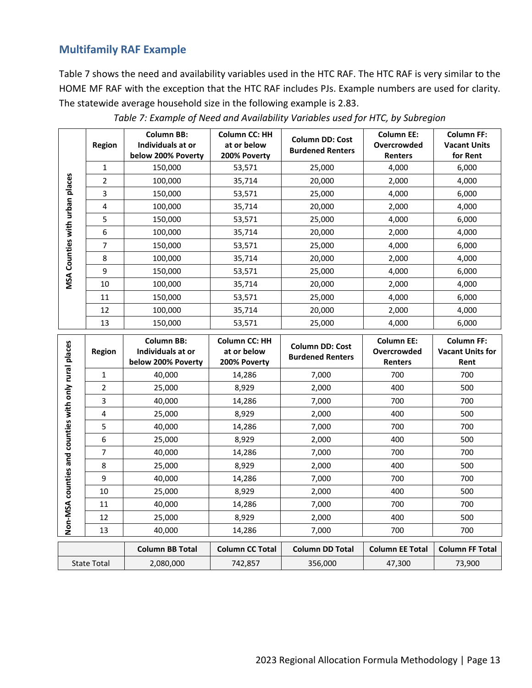## <span id="page-14-0"></span>**Multifamily RAF Example**

Table 7 shows the need and availability variables used in the HTC RAF. The HTC RAF is very similar to the HOME MF RAF with the exception that the HTC RAF includes PJs. Example numbers are used for clarity. The statewide average household size in the following example is 2.83.

|            | <b>Region</b>  | <b>Column BB:</b><br>Individuals at or<br>below 200% Poverty | <b>Column CC: HH</b><br>at or below<br>200% Poverty | <b>Column DD: Cost</b><br><b>Burdened Renters</b> | <b>Column EE:</b><br>Overcrowded<br>Renters | <b>Column FF:</b><br><b>Vacant Units</b><br>for Rent |
|------------|----------------|--------------------------------------------------------------|-----------------------------------------------------|---------------------------------------------------|---------------------------------------------|------------------------------------------------------|
|            | $\mathbf{1}$   | 150,000                                                      | 53,571                                              | 25,000                                            | 4,000                                       | 6,000                                                |
| places     | $\overline{2}$ | 100,000                                                      | 35,714                                              | 20,000                                            | 2,000                                       | 4,000                                                |
|            | 3              | 150,000                                                      | 53,571                                              | 25,000                                            | 4,000                                       | 6,000                                                |
| with urban | 4              | 100,000                                                      | 35,714                                              | 20,000                                            | 2,000                                       | 4,000                                                |
|            | 5              | 150,000                                                      | 53,571                                              | 25,000                                            | 4,000                                       | 6,000                                                |
|            | 6              | 100,000                                                      | 35,714                                              | 20,000                                            | 2,000                                       | 4,000                                                |
|            | 7              | 150,000                                                      | 53,571                                              | 25,000                                            | 4,000                                       | 6,000                                                |
| Counties   | 8              | 100,000                                                      | 35,714                                              | 20,000                                            | 2,000                                       | 4,000                                                |
|            | 9              | 150,000                                                      | 53,571                                              | 25,000                                            | 4,000                                       | 6,000                                                |
| MSA        | 10             | 100,000                                                      | 35,714                                              | 20,000                                            | 2,000                                       | 4,000                                                |
|            | 11             | 150,000                                                      | 53,571                                              | 25,000                                            | 4,000                                       | 6,000                                                |
|            | 12             | 100,000                                                      | 35,714                                              | 20,000                                            | 2,000                                       | 4,000                                                |
|            | 13             | 150,000                                                      | 53,571                                              | 25,000                                            | 4,000                                       | 6,000                                                |

*Table 7: Example of Need and Availability Variables used for HTC, by Subregion*

| counties with only rural places | <b>Region</b>                                                   | <b>Column BB:</b><br><b>Column CC: HH</b><br>Individuals at or<br>at or below<br>below 200% Poverty<br>200% Poverty |                        | <b>Column DD: Cost</b><br><b>Burdened Renters</b> | <b>Column EE:</b><br>Overcrowded<br><b>Renters</b> | <b>Column FF:</b><br><b>Vacant Units for</b><br>Rent |  |
|---------------------------------|-----------------------------------------------------------------|---------------------------------------------------------------------------------------------------------------------|------------------------|---------------------------------------------------|----------------------------------------------------|------------------------------------------------------|--|
|                                 | $\mathbf{1}$                                                    | 40,000                                                                                                              | 14,286                 |                                                   | 700                                                | 700                                                  |  |
|                                 | $\overline{2}$                                                  | 25,000                                                                                                              | 8,929                  | 2,000                                             | 400                                                | 500                                                  |  |
|                                 | 3                                                               | 40,000                                                                                                              | 14,286                 | 7,000                                             | 700                                                | 700                                                  |  |
|                                 | 4                                                               | 25,000                                                                                                              | 8,929                  | 2,000                                             | 400                                                | 500                                                  |  |
|                                 | 5                                                               | 40,000                                                                                                              | 14,286                 | 7,000                                             | 700                                                | 700                                                  |  |
|                                 | 6                                                               | 25,000                                                                                                              | 8,929                  | 2,000                                             | 400                                                | 500                                                  |  |
|                                 | 7                                                               | 40,000                                                                                                              | 14,286                 | 7,000                                             | 700                                                | 700                                                  |  |
| and                             | 8                                                               | 25,000                                                                                                              | 8,929                  | 2,000                                             | 400                                                | 500                                                  |  |
|                                 | 9                                                               | 40,000                                                                                                              | 14,286                 | 7,000                                             | 700                                                | 700                                                  |  |
| counties                        | 10                                                              | 25,000                                                                                                              | 8,929                  | 2,000                                             | 400                                                | 500                                                  |  |
|                                 | 11                                                              | 40,000                                                                                                              | 14,286                 | 7,000                                             | 700                                                | 700                                                  |  |
| Non-MSA                         | 12                                                              | 25,000                                                                                                              | 8,929                  | 2,000                                             | 400                                                | 500                                                  |  |
|                                 | 13                                                              | 40,000                                                                                                              | 14,286                 | 7,000                                             | 700                                                | 700                                                  |  |
|                                 |                                                                 | <b>Column BB Total</b>                                                                                              | <b>Column CC Total</b> | <b>Column DD Total</b>                            | <b>Column EE Total</b>                             | <b>Column FF Total</b>                               |  |
|                                 | 2,080,000<br>356,000<br><b>State Total</b><br>742,857<br>47,300 |                                                                                                                     | 73,900                 |                                                   |                                                    |                                                      |  |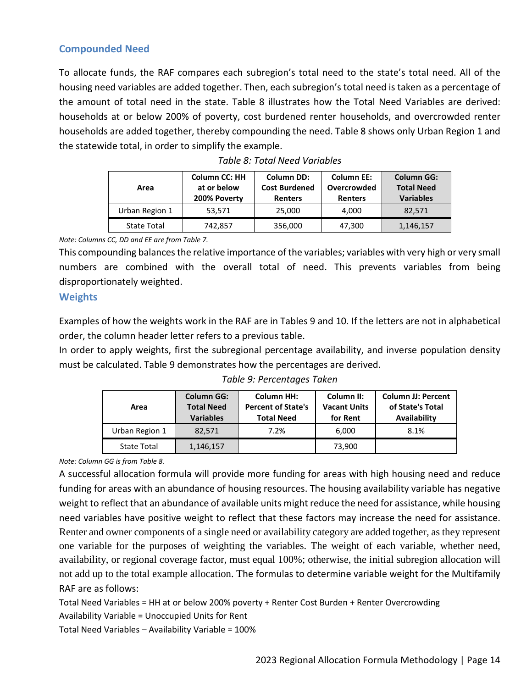### <span id="page-15-0"></span>**Compounded Need**

To allocate funds, the RAF compares each subregion's total need to the state's total need. All of the housing need variables are added together. Then, each subregion's total need is taken as a percentage of the amount of total need in the state. Table 8 illustrates how the Total Need Variables are derived: households at or below 200% of poverty, cost burdened renter households, and overcrowded renter households are added together, thereby compounding the need. Table 8 shows only Urban Region 1 and the statewide total, in order to simplify the example.

| Area               | <b>Column CC: HH</b><br>at or below<br>200% Poverty | <b>Column DD:</b><br><b>Cost Burdened</b><br><b>Renters</b> | <b>Column EE:</b><br>Overcrowded<br><b>Renters</b> | <b>Column GG:</b><br><b>Total Need</b><br><b>Variables</b> |  |
|--------------------|-----------------------------------------------------|-------------------------------------------------------------|----------------------------------------------------|------------------------------------------------------------|--|
| Urban Region 1     | 53,571                                              | 25,000                                                      | 4.000                                              | 82,571                                                     |  |
| <b>State Total</b> | 742,857                                             | 356,000                                                     | 47,300                                             | 1,146,157                                                  |  |

*Note: Columns CC, DD and EE are from Table 7.*

This compounding balances the relative importance of the variables; variables with very high or very small numbers are combined with the overall total of need. This prevents variables from being disproportionately weighted.

### <span id="page-15-1"></span>**Weights**

Examples of how the weights work in the RAF are in Tables 9 and 10. If the letters are not in alphabetical order, the column header letter refers to a previous table.

In order to apply weights, first the subregional percentage availability, and inverse population density must be calculated. Table 9 demonstrates how the percentages are derived.

| Area               | <b>Column GG:</b><br><b>Total Need</b><br><b>Variables</b> | <b>Column HH:</b><br><b>Percent of State's</b><br><b>Total Need</b> | Column II:<br><b>Vacant Units</b><br>for Rent | <b>Column JJ: Percent</b><br>of State's Total<br>Availability |  |
|--------------------|------------------------------------------------------------|---------------------------------------------------------------------|-----------------------------------------------|---------------------------------------------------------------|--|
| Urban Region 1     | 82.571                                                     | 7.2%                                                                | 6.000                                         | 8.1%                                                          |  |
| <b>State Total</b> | 1,146,157                                                  |                                                                     | 73,900                                        |                                                               |  |

*Table 9: Percentages Taken*

*Note: Column GG is from Table 8.* 

A successful allocation formula will provide more funding for areas with high housing need and reduce funding for areas with an abundance of housing resources. The housing availability variable has negative weight to reflect that an abundance of available units might reduce the need for assistance, while housing need variables have positive weight to reflect that these factors may increase the need for assistance. Renter and owner components of a single need or availability category are added together, as they represent one variable for the purposes of weighting the variables. The weight of each variable, whether need, availability, or regional coverage factor, must equal 100%; otherwise, the initial subregion allocation will not add up to the total example allocation. The formulas to determine variable weight for the Multifamily RAF are as follows:

Total Need Variables = HH at or below 200% poverty + Renter Cost Burden + Renter Overcrowding Availability Variable = Unoccupied Units for Rent Total Need Variables – Availability Variable = 100%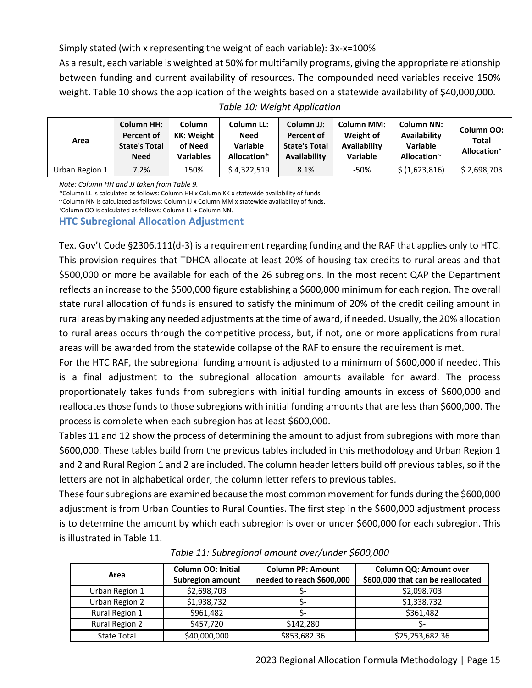Simply stated (with x representing the weight of each variable): 3x-x=100%

As a result, each variable is weighted at 50% for multifamily programs, giving the appropriate relationship between funding and current availability of resources. The compounded need variables receive 150% weight. Table 10 shows the application of the weights based on a statewide availability of \$40,000,000. *Table 10: Weight Application*

| Area           | <b>Column HH:</b><br>Percent of<br><b>State's Total</b><br><b>Need</b> | Column<br>KK: Weight<br>of Need<br><b>Variables</b> | Column LL:<br>Need<br>Variable<br>Allocation* | Column JJ:<br>Percent of<br><b>State's Total</b><br><b>Availability</b> | <b>Column MM:</b><br>Weight of<br><b>Availability</b><br>Variable | <b>Column NN:</b><br>Availability<br><b>Variable</b><br>Allocation $\sim$ | Column OO:<br>Total<br>Allocation <sup>+</sup> |
|----------------|------------------------------------------------------------------------|-----------------------------------------------------|-----------------------------------------------|-------------------------------------------------------------------------|-------------------------------------------------------------------|---------------------------------------------------------------------------|------------------------------------------------|
| Urban Region 1 | 7.2%                                                                   | 150%                                                | \$4,322,519                                   | 8.1%                                                                    | -50%                                                              | \$(1,623,816)                                                             | \$2,698,703                                    |

*Note: Column HH and JJ taken from Table 9.* 

\*Column LL is calculated as follows: Column HH x Column KK x statewide availability of funds.

~Column NN is calculated as follows: Column JJ x Column MM x statewide availability of funds.

+ Column OO is calculated as follows: Column LL + Column NN.

#### <span id="page-16-0"></span>**HTC Subregional Allocation Adjustment**

Tex. Gov't Code §2306.111(d-3) is a requirement regarding funding and the RAF that applies only to HTC. This provision requires that TDHCA allocate at least 20% of housing tax credits to rural areas and that \$500,000 or more be available for each of the 26 subregions. In the most recent QAP the Department reflects an increase to the \$500,000 figure establishing a \$600,000 minimum for each region. The overall state rural allocation of funds is ensured to satisfy the minimum of 20% of the credit ceiling amount in rural areas by making any needed adjustments at the time of award, if needed. Usually, the 20% allocation to rural areas occurs through the competitive process, but, if not, one or more applications from rural areas will be awarded from the statewide collapse of the RAF to ensure the requirement is met.

For the HTC RAF, the subregional funding amount is adjusted to a minimum of \$600,000 if needed. This is a final adjustment to the subregional allocation amounts available for award. The process proportionately takes funds from subregions with initial funding amounts in excess of \$600,000 and reallocates those funds to those subregions with initial funding amounts that are less than \$600,000. The process is complete when each subregion has at least \$600,000.

Tables 11 and 12 show the process of determining the amount to adjust from subregions with more than \$600,000. These tables build from the previous tables included in this methodology and Urban Region 1 and 2 and Rural Region 1 and 2 are included. The column header letters build off previous tables, so if the letters are not in alphabetical order, the column letter refers to previous tables.

These four subregions are examined because the most common movement for funds during the \$600,000 adjustment is from Urban Counties to Rural Counties. The first step in the \$600,000 adjustment process is to determine the amount by which each subregion is over or under \$600,000 for each subregion. This is illustrated in Table 11.

| Area               | <b>Column OO: Initial</b><br><b>Subregion amount</b> | <b>Column PP: Amount</b><br>needed to reach \$600,000 | Column QQ: Amount over<br>\$600,000 that can be reallocated |  |  |
|--------------------|------------------------------------------------------|-------------------------------------------------------|-------------------------------------------------------------|--|--|
| Urban Region 1     | \$2,698,703                                          |                                                       | \$2,098,703                                                 |  |  |
| Urban Region 2     | \$1,938,732                                          |                                                       | \$1,338,732                                                 |  |  |
| Rural Region 1     | \$961,482                                            |                                                       | \$361,482                                                   |  |  |
| Rural Region 2     | \$457,720                                            | \$142,280                                             |                                                             |  |  |
| <b>State Total</b> | \$40,000,000                                         | \$853,682.36                                          | \$25,253,682.36                                             |  |  |

#### *Table 11: Subregional amount over/under \$600,000*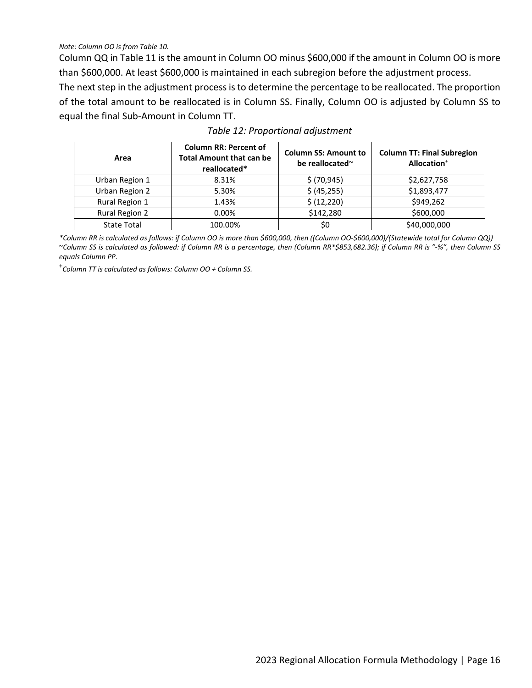*Note: Column OO is from Table 10.*

Column QQ in Table 11 is the amount in Column OO minus \$600,000 if the amount in Column OO is more than \$600,000. At least \$600,000 is maintained in each subregion before the adjustment process.

The next step in the adjustment process is to determine the percentage to be reallocated. The proportion of the total amount to be reallocated is in Column SS. Finally, Column OO is adjusted by Column SS to equal the final Sub-Amount in Column TT.

| Area                  | <b>Column RR: Percent of</b><br><b>Total Amount that can be</b><br>reallocated* | <b>Column SS: Amount to</b><br>be reallocated $\sim$ | <b>Column TT: Final Subregion</b><br>Allocation <sup>+</sup> |
|-----------------------|---------------------------------------------------------------------------------|------------------------------------------------------|--------------------------------------------------------------|
| Urban Region 1        | 8.31%                                                                           | \$ (70, 945)                                         | \$2,627,758                                                  |
| Urban Region 2        | 5.30%                                                                           | \$ (45, 255)                                         | \$1,893,477                                                  |
| Rural Region 1        | 1.43%                                                                           | \$ (12, 220)                                         | \$949,262                                                    |
| <b>Rural Region 2</b> | $0.00\%$                                                                        | \$142,280                                            | \$600,000                                                    |
| <b>State Total</b>    | 100.00%                                                                         | \$0                                                  | \$40,000,000                                                 |

### *Table 12: Proportional adjustment*

*\*Column RR is calculated as follows: if Column OO is more than \$600,000, then ((Column OO-\$600,000)/(Statewide total for Column QQ))* ~*Column SS is calculated as followed: if Column RR is a percentage, then (Column RR\*\$853,682.36); if Column RR is "-%", then Column SS equals Column PP.*

<sup>+</sup>*Column TT is calculated as follows: Column OO + Column SS.*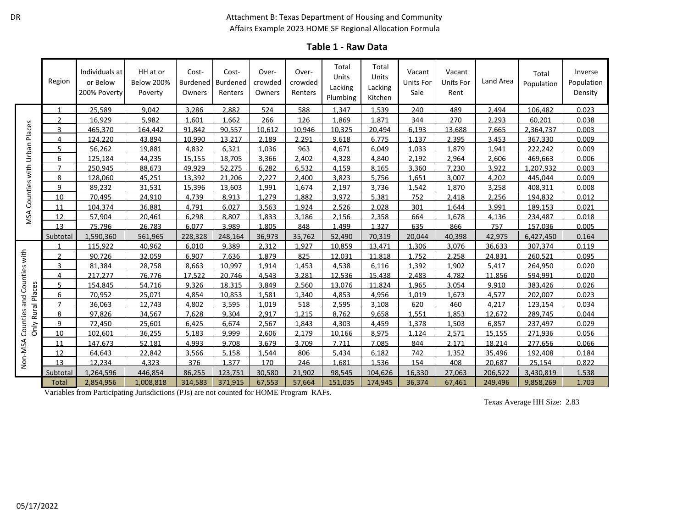#### Attachment B: Texas Department of Housing and Community Affairs Example 2023 HOME SF Regional Allocation Formula

| <b>Table 1 - Raw Data</b> |  |  |
|---------------------------|--|--|
|---------------------------|--|--|

|                          | Region         | Individuals at<br>or Below<br>200% Poverty | HH at or<br><b>Below 200%</b><br>Poverty | Cost-<br><b>Burdened</b><br>Owners | Cost-<br>Burdened<br>Renters | Over-<br>crowded<br>Owners | Over-<br>crowded<br>Renters | Total<br>Units<br>Lacking<br>Plumbing | Total<br>Units<br>Lacking<br>Kitchen | Vacant<br>Units For<br>Sale | Vacant<br><b>Units For</b><br>Rent | Land Area | Total<br>Population | Inverse<br>Population<br>Density |
|--------------------------|----------------|--------------------------------------------|------------------------------------------|------------------------------------|------------------------------|----------------------------|-----------------------------|---------------------------------------|--------------------------------------|-----------------------------|------------------------------------|-----------|---------------------|----------------------------------|
|                          | -1             | 25,589                                     | 9.042                                    | 3.286                              | 2.882                        | 524                        | 588                         | 1.347                                 | 1.539                                | 240                         | 489                                | 2.494     | 106.482             | 0.023                            |
|                          | ำ              | 16,929                                     | 5.982                                    | 1.601                              | 1.662                        | 266                        | 126                         | 1.869                                 | 1.871                                | 344                         | 270                                | 2.293     | 60.201              | 0.038                            |
|                          | $\mathbf{R}$   | 465,370                                    | 164,442                                  | 91.842                             | 90,557                       | 10.612                     | 10,946                      | 10,325                                | 20,494                               | 6.193                       | 13,688                             | 7,665     | 2,364,737           | 0.003                            |
| Urban Places             | 4              | 124.220                                    | 43.894                                   | 10.990                             | 13.217                       | 2.189                      | 2.291                       | 9.618                                 | 6.775                                | 1.137                       | 2.395                              | 3.453     | 367.330             | 0.009                            |
|                          | 5              | 56.262                                     | 19.881                                   | 4.832                              | 6.321                        | 1.036                      | 963                         | 4.671                                 | 6.049                                | 1.033                       | 1.879                              | 1.941     | 222.242             | 0.009                            |
|                          | 6              | 125,184                                    | 44.235                                   | 15.155                             | 18.705                       | 3.366                      | 2.402                       | 4,328                                 | 4,840                                | 2.192                       | 2.964                              | 2.606     | 469.663             | 0.006                            |
|                          | $\overline{7}$ | 250,945                                    | 88,673                                   | 49.929                             | 52.275                       | 6.282                      | 6.532                       | 4.159                                 | 8.165                                | 3.360                       | 7.230                              | 3.922     | 1.207.932           | 0.003                            |
| Counties with            | 8              | 128.060                                    | 45,251                                   | 13.392                             | 21.206                       | 2.227                      | 2.400                       | 3,823                                 | 5,756                                | 1.651                       | 3,007                              | 4,202     | 445.044             | 0.009                            |
|                          | 9              | 89.232                                     | 31.531                                   | 15.396                             | 13.603                       | 1.991                      | 1.674                       | 2.197                                 | 3.736                                | 1.542                       | 1.870                              | 3.258     | 408.311             | 0.008                            |
|                          | 10             | 70,495                                     | 24,910                                   | 4,739                              | 8,913                        | 1.279                      | 1.882                       | 3,972                                 | 5,381                                | 752                         | 2.418                              | 2,256     | 194,832             | 0.012                            |
|                          | 11             | 104.374                                    | 36.881                                   | 4.791                              | 6.027                        | 3.563                      | 1.924                       | 2.526                                 | 2.028                                | 301                         | 1.644                              | 3.991     | 189.153             | 0.021                            |
| MSA                      | 12             | 57,904                                     | 20,461                                   | 6,298                              | 8,807                        | 1,833                      | 3,186                       | 2,156                                 | 2,358                                | 664                         | 1,678                              | 4,136     | 234,487             | 0.018                            |
|                          | 13             | 75.796                                     | 26.783                                   | 6.077                              | 3.989                        | 1.805                      | 848                         | 1.499                                 | 1.327                                | 635                         | 866                                | 757       | 157.036             | 0.005                            |
|                          | Subtotal       | 1,590,360                                  | 561,965                                  | 228.328                            | 248.164                      | 36,973                     | 35,762                      | 52,490                                | 70,319                               | 20.044                      | 40,398                             | 42,975    | 6,427,450           | 0.164                            |
|                          |                | 115.922                                    | 40,962                                   | 6.010                              | 9,389                        | 2.312                      | 1.927                       | 10.859                                | 13.471                               | 1.306                       | 3.076                              | 36,633    | 307,374             | 0.119                            |
| with                     | ำ              | 90,726                                     | 32,059                                   | 6.907                              | 7,636                        | 1.879                      | 825                         | 12,031                                | 11,818                               | 1.752                       | 2,258                              | 24,831    | 260.521             | 0.095                            |
|                          | 3              | 81.384                                     | 28.758                                   | 8.663                              | 10.997                       | 1.914                      | 1.453                       | 4.538                                 | 6.116                                | 1.392                       | 1.902                              | 5.417     | 264.950             | 0.020                            |
| Counties                 | 4              | 217.277                                    | 76,776                                   | 17.522                             | 20.746                       | 4.543                      | 3.281                       | 12,536                                | 15,438                               | 2,483                       | 4.782                              | 11.856    | 594,991             | 0.020                            |
|                          | 5              | 154.845                                    | 54.716                                   | 9.326                              | 18.315                       | 3.849                      | 2.560                       | 13.076                                | 11.824                               | 1.965                       | 3.054                              | 9.910     | 383.426             | 0.026                            |
|                          | 6              | 70,952                                     | 25,071                                   | 4,854                              | 10.853                       | 1.581                      | 1.340                       | 4,853                                 | 4,956                                | 1.019                       | 1.673                              | 4,577     | 202.007             | 0.023                            |
| and                      | $\overline{7}$ | 36,063                                     | 12.743                                   | 4.802                              | 3.595                        | 1.019                      | 518                         | 2,595                                 | 3,108                                | 620                         | 460                                | 4.217     | 123.154             | 0.034                            |
| Rural Places<br>Counties | 8              | 97,826                                     | 34,567                                   | 7,628                              | 9,304                        | 2,917                      | 1.215                       | 8,762                                 | 9,658                                | 1,551                       | 1,853                              | 12,672    | 289,745             | 0.044                            |
| Only                     | 9              | 72.450                                     | 25.601                                   | 6.425                              | 6.674                        | 2.567                      | 1.843                       | 4.303                                 | 4,459                                | 1.378                       | 1.503                              | 6.857     | 237.497             | 0.029                            |
|                          | 10             | 102.601                                    | 36.255                                   | 5.183                              | 9.999                        | 2.606                      | 2.179                       | 10.166                                | 8.975                                | 1.124                       | 2.571                              | 15.155    | 271.936             | 0.056                            |
|                          | 11             | 147,673                                    | 52,181                                   | 4.993                              | 9.708                        | 3.679                      | 3.709                       | 7.711                                 | 7,085                                | 844                         | 2.171                              | 18.214    | 277,656             | 0.066                            |
|                          | 12             | 64.643                                     | 22.842                                   | 3.566                              | 5.158                        | 1.544                      | 806                         | 5.434                                 | 6.182                                | 742                         | 1.352                              | 35.496    | 192.408             | 0.184                            |
| Non-MSA                  | 13             | 12,234                                     | 4,323                                    | 376                                | 1.377                        | 170                        | 246                         | 1.681                                 | 1,536                                | 154                         | 408                                | 20.687    | 25,154              | 0.822                            |
|                          | Subtotal       | 1,264,596                                  | 446,854                                  | 86,255                             | 123.751                      | 30,580                     | 21.902                      | 98.545                                | 104,626                              | 16,330                      | 27,063                             | 206,522   | 3,430,819           | 1.538                            |
|                          | <b>Total</b>   | 2.854.956                                  | 1,008,818                                | 314,583                            | 371.915                      | 67,553                     | 57,664                      | 151.035                               | 174,945                              | 36.374                      | 67,461                             | 249.496   | 9.858.269           | 1.703                            |

Variables from Participating Jurisdictions (PJs) are not counted for HOME Program RAFs.

Texas Average HH Size: 2.83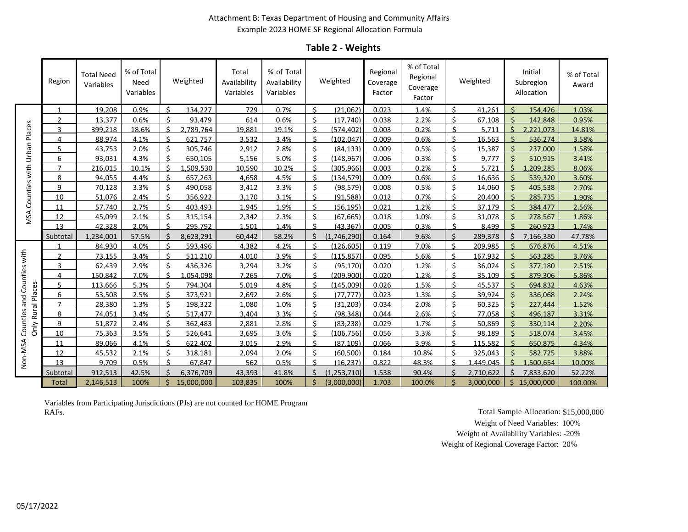#### Attachment B: Texas Department of Housing and Community Affairs Example 2023 HOME SF Regional Allocation Formula

### **Table 2 - Weights**

|                            | Region        | <b>Total Need</b><br>Variables | % of Total<br>Need<br>Variables |                       | Weighted   | Total<br>Availability<br>Variables | % of Total<br>Availability<br>Variables |            | Weighted      | Regional<br>Coverage<br>Factor | % of Total<br>Regional<br>Coverage<br>Factor |         | Weighted  | Initial<br>Subregion<br>Allocation | % of Total<br>Award |
|----------------------------|---------------|--------------------------------|---------------------------------|-----------------------|------------|------------------------------------|-----------------------------------------|------------|---------------|--------------------------------|----------------------------------------------|---------|-----------|------------------------------------|---------------------|
|                            | 1             | 19.208                         | 0.9%                            | $\zeta$               | 134.227    | 729                                | 0.7%                                    | ς.         | (21.062)      | 0.023                          | 1.4%                                         | \$      | 41.261    | ς<br>154,426                       | 1.03%               |
|                            | $\mathcal{P}$ | 13.377                         | 0.6%                            | ς.                    | 93,479     | 614                                | 0.6%                                    | Š.         | (17.740)      | 0.038                          | 2.2%                                         |         | 67.108    | ¢<br>142,848                       | 0.95%               |
| Counties with Urban Places | 3             | 399.218                        | 18.6%                           | $\breve{\phantom{a}}$ | 2.789.764  | 19.881                             | 19.1%                                   | $\zeta$    | (574.402)     | 0.003                          | 0.2%                                         | ¢.      | 5.711     | $\mathsf{S}$<br>2,221,073          | 14.81%              |
|                            | 4             | 88.974                         | 4.1%                            |                       | 621.757    | 3.532                              | 3.4%                                    | Ć          | (102.047)     | 0.009                          | 0.6%                                         | ć       | 16.563    | ¢<br>536.274                       | 3.58%               |
|                            | 5             | 43.753                         | 2.0%                            | $\zeta$               | 305,746    | 2.912                              | 2.8%                                    | ¢          | (84.133)      | 0.009                          | 0.5%                                         | \$      | 15.387    | $\zeta$<br>237.000                 | 1.58%               |
|                            | 6             | 93.031                         | 4.3%                            | $\zeta$               | 650.105    | 5,156                              | 5.0%                                    | $\zeta$    | (148, 967)    | 0.006                          | 0.3%                                         | \$      | 9.777     | $\zeta$<br>510,915                 | 3.41%               |
|                            | 7             | 216,015                        | 10.1%                           | $\zeta$               | 1,509,530  | 10,590                             | 10.2%                                   | Ś.         | (305, 966)    | 0.003                          | 0.2%                                         | ς       | 5,721     | Ś.<br>1,209,285                    | 8.06%               |
|                            | 8             | 94,055                         | 4.4%                            | $\zeta$               | 657,263    | 4,658                              | 4.5%                                    | $\zeta$    | (134, 579)    | 0.009                          | 0.6%                                         | ¢       | 16,636    | ¢<br>539,320                       | 3.60%               |
|                            | 9             | 70.128                         | 3.3%                            | ¢                     | 490.058    | 3.412                              | 3.3%                                    |            | (98.579)      | 0.008                          | 0.5%                                         | ¢       | 14,060    | ¢<br>405.538                       | 2.70%               |
|                            | 10            | 51.076                         | 2.4%                            | $\zeta$               | 356.922    | 3.170                              | 3.1%                                    | $\zeta$    | (91.588)      | 0.012                          | 0.7%                                         | ς.      | 20.400    | $\zeta$<br>285,735                 | 1.90%               |
|                            | 11            | 57.740                         | 2.7%                            | ċ                     | 403.493    | 1.945                              | 1.9%                                    |            | (56.195)      | 0.021                          | 1.2%                                         | ć       | 37.179    | ¢<br>384.477                       | 2.56%               |
| MSA                        | 12            | 45.099                         | 2.1%                            | ¢                     | 315,154    | 2.342                              | 2.3%                                    | ς          | (67, 665)     | 0.018                          | 1.0%                                         | ¢       | 31.078    | ¢<br>278,567                       | 1.86%               |
|                            | 13            | 42,328                         | 2.0%                            | $\breve{\phantom{a}}$ | 295,792    | 1,501                              | 1.4%                                    | $\zeta$    | (43, 367)     | 0.005                          | 0.3%                                         | ς       | 8,499     | ¢<br>260,923                       | 1.74%               |
|                            | Subtotal      | 1,234,001                      | 57.5%                           | $\zeta$               | 8,623,291  | 60,442                             | 58.2%                                   | $\zeta$    | (1,746,290)   | 0.164                          | 9.6%                                         | $\zeta$ | 289,378   | Ś.<br>7,166,380                    | 47.78%              |
|                            |               | 84,930                         | 4.0%                            | $\zeta$               | 593,496    | 4,382                              | 4.2%                                    | Ś.         | (126.605)     | 0.119                          | 7.0%                                         | $\zeta$ | 209.985   | $\zeta$<br>676,876                 | 4.51%               |
|                            |               | 73.155                         | 3.4%                            | $\zeta$               | 511.210    | 4.010                              | 3.9%                                    | Ś.         | (115, 857)    | 0.095                          | 5.6%                                         | \$      | 167.932   | $\zeta$<br>563,285                 | 3.76%               |
|                            | 3             | 62.439                         | 2.9%                            | $\zeta$               | 436,326    | 3.294                              | 3.2%                                    | $\zeta$    | (95.170)      | 0.020                          | 1.2%                                         | \$      | 36,024    | ς<br>377,180                       | 2.51%               |
| Counties and Counties with | 4             | 150,842                        | 7.0%                            | $\zeta$               | .054.098   | 7.265                              | 7.0%                                    | ς.         | (209.900)     | 0.020                          | 1.2%                                         | \$      | 35.109    | ς<br>879,306                       | 5.86%               |
|                            |               | 113.666                        | 5.3%                            | $\zeta$               | 794.304    | 5.019                              | 4.8%                                    | $\breve{}$ | (145.009)     | 0.026                          | 1.5%                                         | 4       | 45.537    | ¢<br>694.832                       | 4.63%               |
| Rural Places               | 6             | 53.508                         | 2.5%                            | ¢                     | 373.921    | 2.692                              | 2.6%                                    | Ś.         | (77.777)      | 0.023                          | 1.3%                                         | ¢       | 39.924    | ¢<br>336,068                       | 2.24%               |
|                            |               | 28.380                         | 1.3%                            | ¢                     | 198.322    | 1.080                              | 1.0%                                    | ¢          | (31.203)      | 0.034                          | 2.0%                                         | ¢       | 60.325    | ¢<br>227,444                       | 1.52%               |
|                            | 8             | 74,051                         | 3.4%                            | $\mathsf{S}$          | 517,477    | 3,404                              | 3.3%                                    | Ŝ.         | (98, 348)     | 0.044                          | 2.6%                                         | \$      | 77,058    | 496,187                            | 3.31%               |
| Only                       | q             | 51.872                         | 2.4%                            | <                     | 362.483    | 2.881                              | 2.8%                                    | ¢.         | (83.238)      | 0.029                          | 1.7%                                         | ¢       | 50.869    | ¢<br>330.114                       | 2.20%               |
|                            | 10            | 75,363                         | 3.5%                            | $\zeta$               | 526,641    | 3,695                              | 3.6%                                    | $\zeta$    | (106, 756)    | 0.056                          | 3.3%                                         | ¢       | 98.189    | ς<br>518,074                       | 3.45%               |
|                            | 11            | 89,066                         | 4.1%                            | ¢                     | 622.402    | 3.015                              | 2.9%                                    | Ś.         | (87.109)      | 0.066                          | 3.9%                                         |         | 115.582   | $\zeta$<br>650,875                 | 4.34%               |
| Non-NSA                    | 12            | 45.532                         | 2.1%                            | ċ                     | 318.181    | 2.094                              | 2.0%                                    | ¢          | (60.500)      | 0.184                          | 10.8%                                        |         | 325.043   | 582.725                            | 3.88%               |
|                            | 13            | 9.709                          | 0.5%                            | $\zeta$               | 67,847     | 562                                | 0.5%                                    | <          | (16, 237)     | 0.822                          | 48.3%                                        |         | 1.449.045 | ς<br>1,500,654                     | 10.00%              |
|                            | Subtotal      | 912,513                        | 42.5%                           |                       | 6,376,709  | 43,393                             | 41.8%                                   | $\zeta$    | (1, 253, 710) | 1.538                          | 90.4%                                        | ¢       | 2,710,622 | $\zeta$<br>7,833,620               | 52.22%              |
|                            | Total         | 2,146,513                      | 100%                            |                       | 15,000,000 | 103,835                            | 100%                                    |            | (3,000,000)   | 1.703                          | 100.0%                                       |         | 3.000.000 | Ś.<br>15,000,000                   | 100.00%             |

Variables from Participating Jurisdictions (PJs) are not counted for HOME Program RAFs. Total Sample Allocation: \$15,000,000

Weight of Need Variables: 100% Weight of Availability Variables: -20% Weight of Regional Coverage Factor: 20%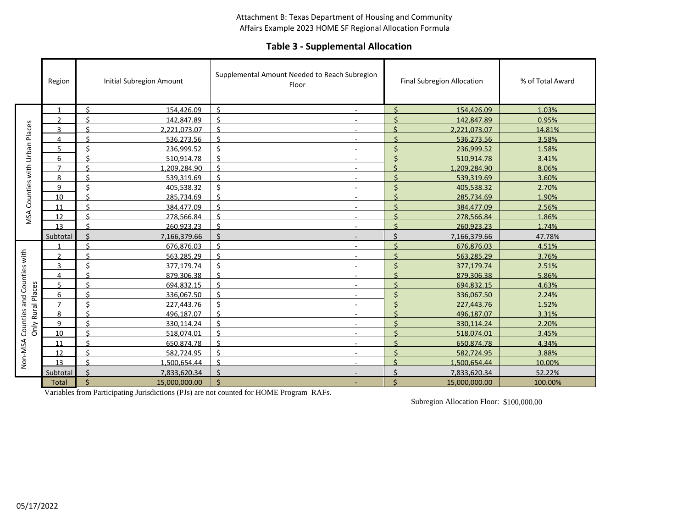#### Attachment B: Texas Department of Housing and Community Affairs Example 2023 HOME SF Regional Allocation Formula

### **Table 3 - Supplemental Allocation**

|               | Region         | <b>Initial Subregion Amount</b>     | Supplemental Amount Needed to Reach Subregion<br>Floor | Final Subregion Allocation        | % of Total Award |
|---------------|----------------|-------------------------------------|--------------------------------------------------------|-----------------------------------|------------------|
|               | $\mathbf 1$    | $\zeta$<br>154.426.09               | $\zeta$                                                | $\zeta$<br>154.426.09             | 1.03%            |
|               | C              | \$<br>142,847.89                    | Ś                                                      | $\zeta$<br>142,847.89             | 0.95%            |
| Places        | $\mathbf{a}$   | ¢<br>2,221,073.07                   | ¢                                                      | ¢<br>2,221,073.07                 | 14.81%           |
|               | 4              | ¢<br>536.273.56                     |                                                        | 536.273.56                        | 3.58%            |
| Urban         | 5              | ¢<br>236.999.52                     | ¢<br>$\overline{\phantom{a}}$                          | 236.999.52                        | 1.58%            |
|               | 6              | \$<br>510,914.78                    | $\mathsf{\hat{S}}$<br>$\overline{\phantom{a}}$         | ¢<br>510,914.78                   | 3.41%            |
|               | $\overline{7}$ | $\mathsf{S}$<br>1.209.284.90        | Ś                                                      | $\zeta$<br>1,209,284.90           | 8.06%            |
| Counties with | 8              | $\zeta$<br>539,319.69               | $\zeta$                                                | $\breve{\varsigma}$<br>539,319.69 | 3.60%            |
|               | 9              | $\mathsf{S}$<br>405.538.32          | $\zeta$                                                | $\zeta$<br>405,538.32             | 2.70%            |
|               | 10             | <<br>285,734.69                     | Ś                                                      | 285,734.69                        | 1.90%            |
|               | 11             | ¢<br>384.477.09                     | ¢                                                      | 384.477.09                        | 2.56%            |
| MSA           | 12             | $\zeta$<br>278,566.84               | ¢                                                      | ¢<br>278,566.84                   | 1.86%            |
|               | 13             | Ŝ.<br>260,923.23                    | $\mathsf{\hat{S}}$                                     | $\breve{\varsigma}$<br>260,923.23 | 1.74%            |
|               | Subtotal       | Ś<br>7,166,379.66                   | \$<br>$\overline{\phantom{a}}$                         | ¢<br>7,166,379.66                 | 47.78%           |
|               |                | $\zeta$<br>676,876.03               | $\zeta$<br>$\overline{\phantom{a}}$                    | 676,876.03                        | 4.51%            |
|               | $\mathcal{D}$  | \$<br>563.285.29                    | $\zeta$                                                | ¢<br>563.285.29                   | 3.76%            |
| Counties with | $\mathbf{a}$   | $\zeta$<br>377,179.74               | $\breve{\varsigma}$                                    | $\zeta$<br>377,179.74             | 2.51%            |
|               | 4              | Ŝ.<br>879,306.38                    | $\mathsf{\hat{S}}$                                     | $\breve{\varsigma}$<br>879,306.38 | 5.86%            |
|               | ς              | ć<br>694.832.15                     | Ć                                                      | 694.832.15                        | 4.63%            |
| Rural Places  | 6              | ς.<br>336,067.50                    | $\mathsf{\hat{S}}$<br>$\overline{\phantom{a}}$         | ¢<br>336,067.50                   | 2.24%            |
|               | 7              | <<br>227,443.76                     | ¢<br>$\overline{\phantom{a}}$                          | ¢<br>227,443.76                   | 1.52%            |
| Counties and  | 8              | Š.<br>496,187.07                    | Ś                                                      | $\varsigma$<br>496,187.07         | 3.31%            |
| Only          | q              | $\zeta$<br>330,114.24               | ¢                                                      | 330,114.24                        | 2.20%            |
|               | 10             | <<br>518.074.01                     | ς<br>$\overline{\phantom{a}}$                          | 518.074.01                        | 3.45%            |
|               | 11             | $\zeta$<br>650.874.78               | $\zeta$<br>$\overline{a}$                              | Ś<br>650.874.78                   | 4.34%            |
| Non-NSA       | 12             | ¢<br>582.724.95                     | ¢                                                      | 582.724.95                        | 3.88%            |
|               | 13             | $\zeta$<br>1,500,654.44             | $\zeta$                                                | $\zeta$<br>1,500,654.44           | 10.00%           |
|               | Subtotal       | Ś.<br>7,833,620.34                  | $\zeta$                                                | $\zeta$<br>7,833,620.34           | 52.22%           |
|               | <b>Total</b>   | $\dot{\mathsf{S}}$<br>15,000,000.00 | Ś                                                      | Ś<br>15,000,000.00                | 100.00%          |

Variables from Participating Jurisdictions (PJs) are not counted for HOME Program RAFs.

Subregion Allocation Floor: \$100,000.00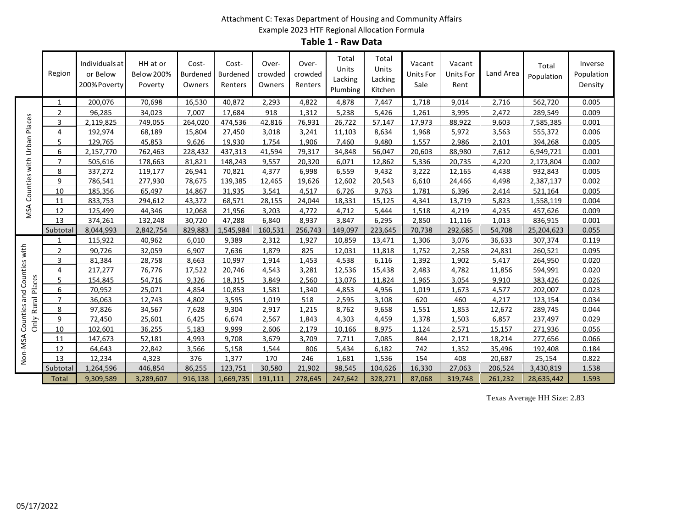### Attachment C: Texas Department of Housing and Community Affairs Example 2023 HTF Regional Allocation Formula

**Table 1 - Raw Data**

|                            | Region         | Individuals at<br>or Below<br>200% Poverty | HH at or<br><b>Below 200%</b><br>Poverty | Cost-<br><b>Burdened</b><br>Owners | Cost-<br><b>Burdened</b><br>Renters | Over-<br>crowded<br>Owners | Over-<br>crowded<br>Renters | Total<br>Units<br>Lacking<br>Plumbing | Total<br>Units<br>Lacking<br>Kitchen | Vacant<br>Units For<br>Sale | Vacant<br>Units For<br>Rent | Land Area | Total<br>Population | Inverse<br>Population<br>Density |
|----------------------------|----------------|--------------------------------------------|------------------------------------------|------------------------------------|-------------------------------------|----------------------------|-----------------------------|---------------------------------------|--------------------------------------|-----------------------------|-----------------------------|-----------|---------------------|----------------------------------|
|                            | 1              | 200,076                                    | 70,698                                   | 16,530                             | 40,872                              | 2,293                      | 4,822                       | 4,878                                 | 7,447                                | 1.718                       | 9.014                       | 2.716     | 562,720             | 0.005                            |
| Urban Places               | $\mathcal{L}$  | 96.285                                     | 34,023                                   | 7.007                              | 17,684                              | 918                        | 1.312                       | 5.238                                 | 5,426                                | 1.261                       | 3,995                       | 2.472     | 289.549             | 0.009                            |
|                            | 3              | 2.119.825                                  | 749,055                                  | 264.020                            | 474,536                             | 42.816                     | 76,931                      | 26,722                                | 57,147                               | 17.973                      | 88,922                      | 9.603     | 7,585,385           | 0.001                            |
|                            | 4              | 192,974                                    | 68,189                                   | 15,804                             | 27,450                              | 3,018                      | 3,241                       | 11.103                                | 8,634                                | 1,968                       | 5,972                       | 3,563     | 555,372             | 0.006                            |
|                            | 5              | 129,765                                    | 45,853                                   | 9,626                              | 19,930                              | 1,754                      | 1,906                       | 7,460                                 | 9,480                                | 1,557                       | 2,986                       | 2,101     | 394,268             | 0.005                            |
|                            | 6              | 2,157,770                                  | 762,463                                  | 228,432                            | 437,313                             | 41,594                     | 79,317                      | 34,848                                | 56,047                               | 20,603                      | 88,980                      | 7,612     | 6,949,721           | 0.001                            |
|                            | $\overline{7}$ | 505,616                                    | 178,663                                  | 81,821                             | 148,243                             | 9.557                      | 20,320                      | 6,071                                 | 12,862                               | 5,336                       | 20,735                      | 4.220     | 2,173,804           | 0.002                            |
| Counties with              | 8              | 337.272                                    | 119.177                                  | 26.941                             | 70.821                              | 4.377                      | 6.998                       | 6.559                                 | 9.432                                | 3.222                       | 12.165                      | 4.438     | 932.843             | 0.005                            |
|                            | 9              | 786,541                                    | 277,930                                  | 78,675                             | 139,385                             | 12.465                     | 19,626                      | 12,602                                | 20,543                               | 6,610                       | 24,466                      | 4,498     | 2,387,137           | 0.002                            |
|                            | 10             | 185,356                                    | 65,497                                   | 14,867                             | 31,935                              | 3,541                      | 4,517                       | 6,726                                 | 9,763                                | 1.781                       | 6,396                       | 2,414     | 521,164             | 0.005                            |
| MSA                        | 11             | 833,753                                    | 294,612                                  | 43,372                             | 68,571                              | 28,155                     | 24,044                      | 18,331                                | 15,125                               | 4,341                       | 13,719                      | 5,823     |                     | 0.004                            |
|                            | 12             | 125,499                                    | 44,346                                   | 12,068                             | 21,956                              | 3,203                      | 4,772                       | 4,712                                 | 5,444                                | 1,518                       | 4,219                       | 4,235     | 457,626             | 0.009                            |
|                            | 13             | 374.261                                    | 132.248                                  | 30.720                             | 47.288                              | 6.840                      | 8,937                       | 3.847                                 | 6,295                                | 2,850                       | 11.116                      | 1.013     | 836,915             | 0.001                            |
|                            | Subtotal       | 8,044,993                                  | 2,842,754                                | 829,883                            | 1,545,984                           | 160,531                    | 256,743                     | 149,097                               | 223,645                              | 70,738                      | 292,685                     | 54,708    | 25,204,623          | 0.055                            |
|                            |                | 115,922                                    | 40,962                                   | 6.010                              | 9,389                               | 2,312                      | 1,927                       | 10.859                                | 13.471                               | 1,306                       | 3,076                       | 36,633    | 307,374             | 0.119                            |
|                            | $\overline{2}$ | 90,726                                     | 32,059                                   | 6,907                              | 7,636                               | 1,879                      | 825                         | 12,031                                | 11,818                               | 1.752                       | 2,258                       | 24,831    | 260,521             | 0.095                            |
|                            | 3              | 81,384                                     | 28,758                                   | 8,663                              | 10,997                              | 1,914                      | 1,453                       | 4,538                                 | 6,116                                | 1,392                       | 1,902                       | 5,417     | 264,950             | 0.020                            |
| Counties and Counties with | 4              | 217,277                                    | 76,776                                   | 17,522                             | 20,746                              | 4,543                      | 3,281                       | 12,536                                | 15,438                               | 2,483                       | 4,782                       | 11,856    | 594,991             | 0.020                            |
| Rural Places               | 5              | 154,845                                    | 54,716                                   | 9,326                              | 18,315                              | 3,849                      | 2,560                       | 13,076                                | 11,824                               | 1,965                       | 3,054                       | 9,910     | 383,426             | 0.026                            |
|                            | 6              | 70,952                                     | 25,071                                   | 4,854                              | 10,853                              | 1,581                      | 1,340                       | 4,853                                 | 4,956                                | 1,019                       | 1,673                       | 4,577     | 202,007             | 0.023                            |
|                            | 7              | 36,063                                     | 12,743                                   | 4,802                              | 3,595                               | 1,019                      | 518                         | 2,595                                 | 3,108                                | 620                         | 460                         | 4,217     | 123,154             | 0.034                            |
|                            | 8              | 97.826                                     | 34.567                                   | 7.628                              | 9.304                               | 2.917                      | 1.215                       | 8.762                                 | 9.658                                | 1.551                       | 1.853                       | 12.672    | 289.745             | 0.044                            |
| Only                       | 9              | 72.450                                     | 25.601                                   | 6,425                              | 6.674                               | 2,567                      | 1.843                       | 4.303                                 | 4,459                                | 1.378                       | 1.503                       | 6.857     | 237,497             | 0.029                            |
|                            | 10             | 102.601                                    | 36,255                                   | 5,183                              | 9.999                               | 2.606                      | 2.179                       | 10,166                                | 8,975                                | 1.124                       | 2,571                       | 15,157    | 271,936             | 0.056                            |
|                            | 11             | 147,673                                    | 52,181                                   | 4,993                              | 9,708                               | 3,679                      | 3,709                       | 7,711                                 | 7,085                                | 844                         | 2,171                       | 18,214    | 277,656             | 0.066                            |
|                            | 12             | 64,643                                     | 22,842                                   | 3,566                              | 5,158                               | 1,544                      | 806                         | 5,434                                 | 6,182                                | 742                         | 1,352                       | 35,496    | 192,408             | 0.184                            |
| Non-MSA                    | 13             | 12,234                                     | 4,323                                    | 376                                | 1,377                               | 170                        | 246                         | 1.681                                 | 1,536                                | 154                         | 408                         | 20,687    | 25,154              | 0.822                            |
|                            | Subtotal       | 1,264,596                                  | 446,854                                  | 86,255                             | 123,751                             | 30,580                     | 21,902                      | 98,545                                | 104,626                              | 16,330                      | 27,063                      | 206,524   | 3,430,819           | 1.538                            |
|                            | <b>Total</b>   | 9.309.589                                  | 3.289.607                                | 916.138                            | 1.669.735                           | 191.111                    | 278.645                     | 247.642                               | 328.271                              | 87.068                      | 319.748                     | 261.232   | 28.635.442          | 1.593                            |

Texas Average HH Size: 2.83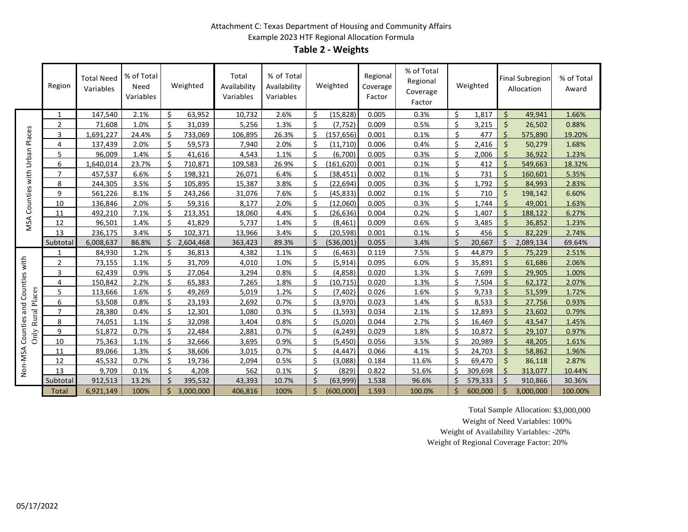#### Attachment C: Texas Department of Housing and Community Affairs Example 2023 HTF Regional Allocation Formula **Table 2 - Weights**

|                               | Region         | <b>Total Need</b><br>Variables | % of Total<br>Need<br>Variables |                    | Weighted  | Total<br>Availability<br>Variables | % of Total<br>Availability<br>Variables |                    | Weighted   | Regional<br>Coverage<br>Factor | % of Total<br>Regional<br>Coverage<br>Factor |                      | Weighted |                    | <b>Final Subregion</b><br>Allocation | % of Total<br>Award |
|-------------------------------|----------------|--------------------------------|---------------------------------|--------------------|-----------|------------------------------------|-----------------------------------------|--------------------|------------|--------------------------------|----------------------------------------------|----------------------|----------|--------------------|--------------------------------------|---------------------|
|                               | $\mathbf{1}$   | 147,540                        | 2.1%                            | Ŝ.                 | 63,952    | 10,732                             | 2.6%                                    | Ś.                 | (15.828)   | 0.005                          | 0.3%                                         | Ś.                   | 1,817    | $\mathsf{S}$       | 49.941                               | 1.66%               |
|                               | $\overline{2}$ | 71,608                         | 1.0%                            | Ś                  | 31,039    | 5,256                              | 1.3%                                    | Ś.                 | (7, 752)   | 0.009                          | 0.5%                                         | Ś                    | 3,215    | Ś                  | 26,502                               | 0.88%               |
| Places                        | 3              | 1,691,227                      | 24.4%                           | Ś.                 | 733,069   | 106,895                            | 26.3%                                   | Ś                  | (157, 656) | 0.001                          | 0.1%                                         | Ś                    | 477      | Ś                  | 575,890                              | 19.20%              |
|                               | 4              | 137,439                        | 2.0%                            | $\zeta$            | 59,573    | 7,940                              | 2.0%                                    | $\mathcal{S}$      | (11,710)   | 0.006                          | 0.4%                                         | \$                   | 2,416    | $\zeta$            | 50,279                               | 1.68%               |
| Urban                         | 5              | 96.009                         | 1.4%                            | $\mathsf{\hat{S}}$ | 41,616    | 4,543                              | 1.1%                                    | $\zeta$            | (6.700)    | 0.005                          | 0.3%                                         | Ś                    | 2,006    | $\zeta$            | 36,922                               | 1.23%               |
|                               | 6              | 1.640.014                      | 23.7%                           | $\zeta$            | 710,871   | 109,583                            | 26.9%                                   | \$                 | (161.620)  | 0.001                          | 0.1%                                         | Ś.                   | 412      | $\zeta$            | 549,663                              | 18.32%              |
| with                          | $\overline{7}$ | 457,537                        | 6.6%                            | Ŝ.                 | 198,321   | 26,071                             | 6.4%                                    | Ś.                 | (38, 451)  | 0.002                          | 0.1%                                         | Ś.                   | 731      | $\zeta$            | 160,601                              | 5.35%               |
|                               | 8              | 244,305                        | 3.5%                            | Ŝ.                 | 105,895   | 15,387                             | 3.8%                                    | Š.                 | (22.694)   | 0.005                          | 0.3%                                         | $\boldsymbol{\zeta}$ | 1,792    |                    | 84.993                               | 2.83%               |
| Counties                      | 9              | 561,226                        | 8.1%                            | ς.                 | 243,266   | 31,076                             | 7.6%                                    | Ŝ.                 | (45, 833)  | 0.002                          | 0.1%                                         | \$                   | 710      | $\mathsf{\hat{S}}$ | 198,142                              | 6.60%               |
|                               | 10             | 136,846                        | 2.0%                            | Ś.                 | 59,316    | 8,177                              | 2.0%                                    | Ś                  | (12,060)   | 0.005                          | 0.3%                                         | \$                   | 1,744    | $\varsigma$        | 49,001                               | 1.63%               |
|                               | 11             | 492,210                        | 7.1%                            | $\mathsf{S}$       | 213,351   | 18,060                             | 4.4%                                    | Ś.                 | (26, 636)  | 0.004                          | 0.2%                                         | Ś                    | 1,407    | Ś                  | 188,122                              | 6.27%               |
| MSA                           | 12             | 96,501                         | 1.4%                            | Š.                 | 41,829    | 5,737                              | 1.4%                                    | Ś.                 | (8, 461)   | 0.009                          | 0.6%                                         | Ś                    | 3,485    | Ś                  | 36,852                               | 1.23%               |
|                               | 13             | 236,175                        | 3.4%                            | Š.                 | 102,371   | 13,966                             | 3.4%                                    | Ś.                 | (20, 598)  | 0.001                          | 0.1%                                         | Ś                    | 456      |                    | 82,229                               | 2.74%               |
|                               | Subtotal       | 6,008,637                      | 86.8%                           | Ŝ.                 | 2,604,468 | 363,423                            | 89.3%                                   | Ś.                 | (536,001)  | 0.055                          | 3.4%                                         | Ś.                   | 20,667   | \$                 | 2,089,134                            | 69.64%              |
|                               | 1              | 84,930                         | 1.2%                            | Ś.                 | 36,813    | 4,382                              | 1.1%                                    | Ś.                 | (6.463)    | 0.119                          | 7.5%                                         | Ś.                   | 44,879   |                    | 75,229                               | 2.51%               |
|                               | $\overline{2}$ | 73,155                         | 1.1%                            | $\mathsf{\hat{S}}$ | 31,709    | 4,010                              | 1.0%                                    | Ś.                 | (5.914)    | 0.095                          | 6.0%                                         | $\mathsf{\hat{S}}$   | 35,891   | $\zeta$            | 61,686                               | 2.06%               |
|                               | 3              | 62.439                         | 0.9%                            | Ś                  | 27,064    | 3.294                              | 0.8%                                    | \$                 | (4.858)    | 0.020                          | 1.3%                                         | Ś                    | 7.699    | $\zeta$            | 29,905                               | 1.00%               |
| and Counties with             | 4              | 150.842                        | 2.2%                            | $\mathsf{\hat{S}}$ | 65,383    | 7,265                              | 1.8%                                    | Ś                  | (10.715)   | 0.020                          | 1.3%                                         | $\mathsf{\hat{S}}$   | 7,504    | $\zeta$            | 62.172                               | 2.07%               |
|                               | 5              | 113,666                        | 1.6%                            | Ś                  | 49,269    | 5,019                              | 1.2%                                    | Ś.                 | (7, 402)   | 0.026                          | 1.6%                                         | Ś                    | 9,733    | Ś                  | 51,599                               | 1.72%               |
|                               | 6              | 53,508                         | 0.8%                            | Ś                  | 23,193    | 2,692                              | 0.7%                                    | Ś.                 | (3,970)    | 0.023                          | 1.4%                                         | Ś                    | 8,533    |                    | 27,756                               | 0.93%               |
|                               | $\overline{7}$ | 28,380                         | 0.4%                            | \$                 | 12,301    | 1,080                              | 0.3%                                    | Ś.                 | (1, 593)   | 0.034                          | 2.1%                                         | $\zeta$              | 12,893   | ς                  | 23,602                               | 0.79%               |
| Only Rural Places<br>Counties | 8              | 74.051                         | 1.1%                            | $\mathsf{\hat{S}}$ | 32.098    | 3.404                              | 0.8%                                    | \$                 | (5.020)    | 0.044                          | 2.7%                                         | $\mathsf{S}$         | 16.469   |                    | 43,547                               | 1.45%               |
|                               | 9              | 51.872                         | 0.7%                            | $\zeta$            | 22,484    | 2,881                              | 0.7%                                    | \$                 | (4.249)    | 0.029                          | 1.8%                                         | $\zeta$              | 10.872   | $\varsigma$        | 29,107                               | 0.97%               |
|                               | 10             | 75,363                         | 1.1%                            | Š.                 | 32,666    | 3,695                              | 0.9%                                    | $\zeta$            | (5,450)    | 0.056                          | 3.5%                                         | $\mathsf{S}$         | 20,989   | $\mathsf{\hat{S}}$ | 48,205                               | 1.61%               |
|                               | 11             | 89,066                         | 1.3%                            | Ś                  | 38,606    | 3,015                              | 0.7%                                    | $\mathsf{\hat{S}}$ | (4.447)    | 0.066                          | 4.1%                                         | $\mathsf{\hat{S}}$   | 24,703   |                    | 58,862                               | 1.96%               |
| Non-MSA                       | 12             | 45,532                         | 0.7%                            | $\mathsf{\hat{S}}$ | 19,736    | 2,094                              | 0.5%                                    | Ś.                 | (3,088)    | 0.184                          | 11.6%                                        | $\zeta$              | 69,470   | $\zeta$            | 86,118                               | 2.87%               |
|                               | 13             | 9.709                          | 0.1%                            | ¢.                 | 4.208     | 562                                | 0.1%                                    | \$                 | (829)      | 0.822                          | 51.6%                                        | ¢.                   | 309.698  | Ś                  | 313.077                              | 10.44%              |
|                               | Subtotal       | 912,513                        | 13.2%                           | $\mathcal{S}$      | 395,532   | 43,393                             | 10.7%                                   | \$                 | (63,999)   | 1.538                          | 96.6%                                        | Ś.                   | 579,333  | Ś                  | 910,866                              | 30.36%              |
|                               | <b>Total</b>   | 6,921,149                      | 100%                            | \$                 | 3,000,000 | 406,816                            | 100%                                    | Ś.                 | (600,000)  | 1.593                          | 100.0%                                       | Ś.                   | 600,000  | Ś                  | 3,000,000                            | 100.00%             |

Total Sample Allocation: \$3,000,000

Weight of Need Variables: 100%

Weight of Availability Variables: -20%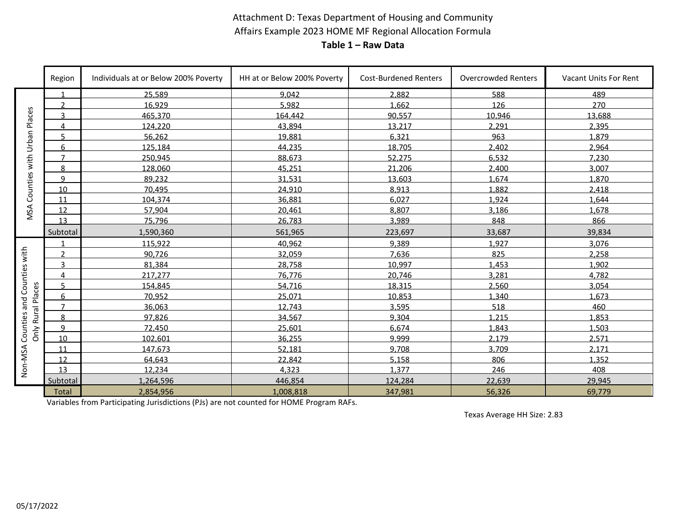### Attachment D: Texas Department of Housing and Community Affairs Example 2023 HOME MF Regional Allocation Formula **Table 1 – Raw Data**

|                          | Region         | Individuals at or Below 200% Poverty | HH at or Below 200% Poverty | <b>Cost-Burdened Renters</b> | <b>Overcrowded Renters</b> | Vacant Units For Rent |
|--------------------------|----------------|--------------------------------------|-----------------------------|------------------------------|----------------------------|-----------------------|
|                          |                | 25,589                               | 9,042                       | 2,882                        | 588                        | 489                   |
|                          | $\mathfrak{p}$ | 16.929                               | 5.982                       | 1.662                        | 126                        | 270                   |
| Places<br>Urban          | 3              | 465,370                              | 164,442                     | 90,557                       | 10,946                     | 13,688                |
|                          | 4              | 124,220                              | 43.894                      | 13,217                       | 2,291                      | 2,395                 |
|                          | 5              | 56,262                               | 19,881                      | 6.321                        | 963                        | 1,879                 |
|                          | 6              | 125,184                              | 44,235                      | 18,705                       | 2,402                      | 2,964                 |
| with                     | $\overline{7}$ | 250.945                              | 88.673                      | 52.275                       | 6.532                      | 7,230                 |
|                          | 8              | 128,060                              | 45,251                      | 21,206                       | 2,400                      | 3,007                 |
| Counties                 | q              | 89.232                               | 31.531                      | 13.603                       | 1.674                      | 1.870                 |
|                          | 10             | 70.495                               | 24.910                      | 8.913                        | 1,882                      | 2.418                 |
|                          | 11             | 104,374                              | 36,881                      | 6,027                        | 1,924                      | 1,644                 |
| MSA                      | 12             | 57,904                               | 20,461                      | 8,807                        | 3,186                      | 1,678                 |
|                          | 13             | 75.796                               | 26.783                      | 3.989                        | 848                        | 866                   |
|                          | Subtotal       | 1,590,360                            | 561,965                     | 223,697                      | 33,687                     | 39,834                |
|                          |                | 115.922                              | 40.962                      | 9.389                        | 1.927                      | 3.076                 |
| Counties with            | $\mathcal{P}$  | 90.726                               | 32.059                      | 7.636                        | 825                        | 2.258                 |
|                          | 3              | 81,384                               | 28,758                      | 10.997                       | 1,453                      | 1,902                 |
|                          | 4              | 217,277                              | 76,776                      | 20.746                       | 3,281                      | 4,782                 |
|                          | 5              | 154,845                              | 54,716                      | 18,315                       | 2,560                      | 3,054                 |
|                          | 6              | 70.952                               | 25.071                      | 10.853                       | 1.340                      | 1.673                 |
| Only Rural Places<br>and | $\overline{7}$ | 36,063                               | 12,743                      | 3,595                        | 518                        | 460                   |
|                          | 8              | 97,826                               | 34,567                      | 9.304                        | 1.215                      | 1,853                 |
| Counties                 | q              | 72.450                               | 25.601                      | 6.674                        | 1.843                      | 1.503                 |
|                          | 10             | 102,601                              | 36,255                      | 9,999                        | 2,179                      | 2,571                 |
|                          | 11             | 147,673                              | 52,181                      | 9.708                        | 3,709                      | 2.171                 |
| Non-NSA                  | 12             | 64,643                               | 22,842                      | 5,158                        | 806                        | 1,352                 |
|                          | 13             | 12.234                               | 4.323                       | 1.377                        | 246                        | 408                   |
|                          | Subtotal       | 1,264,596                            | 446,854                     | 124,284                      | 22,639                     | 29,945                |
|                          | <b>Total</b>   | 2,854,956                            | 1,008,818                   | 347,981                      | 56,326                     | 69,779                |

Variables from Participating Jurisdictions (PJs) are not counted for HOME Program RAFs.

Texas Average HH Size: 2.83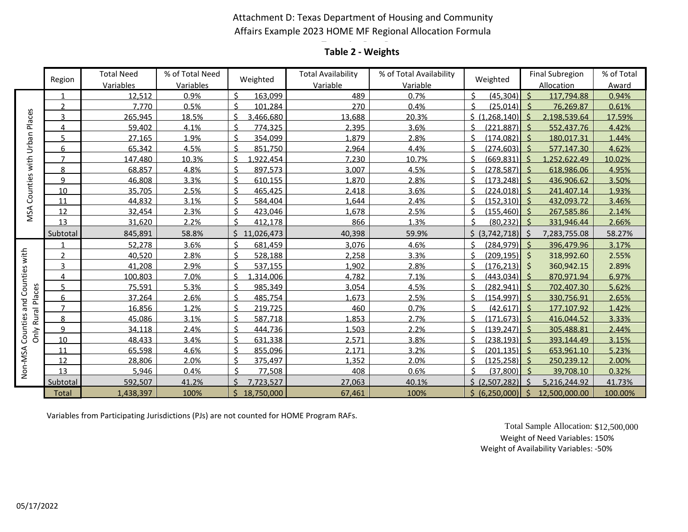### Attachment D: Texas Department of Housing and Community Affairs Example 2023 HOME MF Regional Allocation Formula

# **Table 1 – Raw Data Table 2 - Weights**

|                        | Region         | <b>Total Need</b>   | % of Total Need   | Weighted        | <b>Total Availability</b> | % of Total Availability | Weighted             | <b>Final Subregion</b>              | % of Total     |
|------------------------|----------------|---------------------|-------------------|-----------------|---------------------------|-------------------------|----------------------|-------------------------------------|----------------|
|                        |                | Variables<br>12,512 | Variables<br>0.9% | ς<br>163,099    | Variable<br>489           | Variable<br>0.7%        | (45, 304)            | Allocation<br>$\zeta$<br>117,794.88 | Award<br>0.94% |
| Places                 | $\mathcal{P}$  | 7.770               | 0.5%              | ς<br>101.284    | 270                       | 0.4%                    | $(25,014)$ \$        | 76,269.87                           | 0.61%          |
|                        | 3              | 265.945             | 18.5%             | \$<br>3.466.680 | 13,688                    | 20.3%                   | ς.<br>(1.268.140)    | -Ś<br>2,198,539.64                  | 17.59%         |
|                        | 4              | 59.402              | 4.1%              | ¢<br>774.325    | 2.395                     | 3.6%                    | (221.887)            | $\zeta$<br>552.437.76               | 4.42%          |
|                        | Б              | 27,165              | 1.9%              | ¢<br>354.099    | 1,879                     | 2.8%                    | (174, 082)           | $\zeta$<br>180,017.31               | 1.44%          |
| Urban                  | 6              | 65,342              | 4.5%              | ς<br>851,750    | 2,964                     | 4.4%                    | ¢<br>(274, 603)      | -Ś<br>577,147.30                    | 4.62%          |
|                        | $\overline{7}$ | 147,480             | 10.3%             | \$<br>.922.454  | 7.230                     | 10.7%                   | Ć<br>(669.831)       | <sup>5</sup><br>1.252.622.49        | 10.02%         |
| with                   | 8              | 68.857              | 4.8%              | ¢<br>897.573    | 3.007                     | 4.5%                    | (278.587)            | $\zeta$<br>618.986.06               | 4.95%          |
| Counties               | q              | 46,808              | 3.3%              | 610,155<br>¢    | 1.870                     | 2.8%                    | (173, 248)           | -Ś<br>436,906.62                    | 3.50%          |
|                        | 10             | 35,705              | 2.5%              | ς<br>465,425    | 2,418                     | 3.6%                    | (224, 018)           | 241,407.14<br>-S                    | 1.93%          |
|                        | 11             | 44,832              | 3.1%              | 584,404         | 1,644                     | 2.4%                    | (152, 310)           | $\zeta$<br>432,093.72               | 3.46%          |
| MSA                    | 12             | 32.454              | 2.3%              | ¢<br>423.046    | 1.678                     | 2.5%                    | Ċ<br>(155.460)       | $\zeta$<br>267.585.86               | 2.14%          |
|                        | 13             | 31,620              | 2.2%              | ¢<br>412.178    | 866                       | 1.3%                    | (80, 232)            | 331,946.44<br>$\varsigma$           | 2.66%          |
|                        | Subtotal       | 845,891             | 58.8%             | 11,026,473      | 40,398                    | 59.9%                   | (3,742,718)<br>Ś.    | 7,283,755.08<br>-Ś                  | 58.27%         |
|                        |                | 52.278              | 3.6%              | ¢<br>681,459    | 3,076                     | 4.6%                    | ć<br>(284, 979)      | $\zeta$<br>396,479.96               | 3.17%          |
| Counties with          | $\mathcal{P}$  | 40,520              | 2.8%              | \$<br>528,188   | 2,258                     | 3.3%                    | $(209, 195)$ \$<br>¢ | 318,992.60                          | 2.55%          |
|                        | 3              | 41,208              | 2.9%              | ¢<br>537.155    | 1.902                     | 2.8%                    | (176, 213)           | 360,942.15<br>-Ś                    | 2.89%          |
|                        | 4              | 100.803             | 7.0%              | ς<br>.314.006   | 4.782                     | 7.1%                    | (443, 034)           | $\varsigma$<br>870.971.94           | 6.97%          |
|                        |                | 75.591              | 5.3%              | ć<br>985.349    | 3.054                     | 4.5%                    | (282.941)            | $\zeta$<br>702.407.30               | 5.62%          |
| Places                 | 6              | 37,264              | 2.6%              | \$<br>485,754   | 1,673                     | 2.5%                    | ¢<br>(154, 997)      | $\zeta$<br>330,756.91               | 2.65%          |
| and                    | $\overline{7}$ | 16,856              | 1.2%              | ς<br>219,725    | 460                       | 0.7%                    | (42, 617)            | -Ś<br>177,107.92                    | 1.42%          |
| Only Rural<br>Counties | 8              | 45.086              | 3.1%              | 587.718         | 1.853                     | 2.7%                    | (171.673)            | 416.044.52                          | 3.33%          |
|                        | q              | 34.118              | 2.4%              | ć<br>444.736    | 1.503                     | 2.2%                    | (139.247)            | $\prec$<br>305.488.81               | 2.44%          |
|                        | 10             | 48,433              | 3.4%              | 631,338<br>ς.   | 2,571                     | 3.8%                    | (238, 193)<br>¢      | -Ś<br>393,144.49                    | 3.15%          |
|                        | 11             | 65,598              | 4.6%              | ς<br>855,096    | 2.171                     | 3.2%                    | (201, 135)           | 653,961.10<br>-S                    | 5.23%          |
|                        | 12             | 28,806              | 2.0%              | ς<br>375,497    | 1.352                     | 2.0%                    | (125, 258)           | $\zeta$<br>250,239.12               | 2.00%          |
| Non-NSA                | 13             | 5.946               | 0.4%              | 77.508          | 408                       | 0.6%                    | (37.800)             | $\prec$<br>39.708.10                | 0.32%          |
|                        | Subtotal       | 592,507             | 41.2%             | 7.723.527       | 27.063                    | 40.1%                   | \$ (2,507,282)       | <sup>5</sup><br>5,216,244.92        | 41.73%         |
|                        | Total          | 1,438,397           | 100%              | Ś<br>18,750,000 | 67,461                    | 100%                    | \$ (6,250,000)       | Ŝ.<br>12,500,000.00                 | 100.00%        |

Variables from Participating Jurisdictions (PJs) are not counted for HOME Program RAFs.

Total Sample Allocation: \$12,500,000 Weight of Need Variables: 150% Weight of Availability Variables: -50%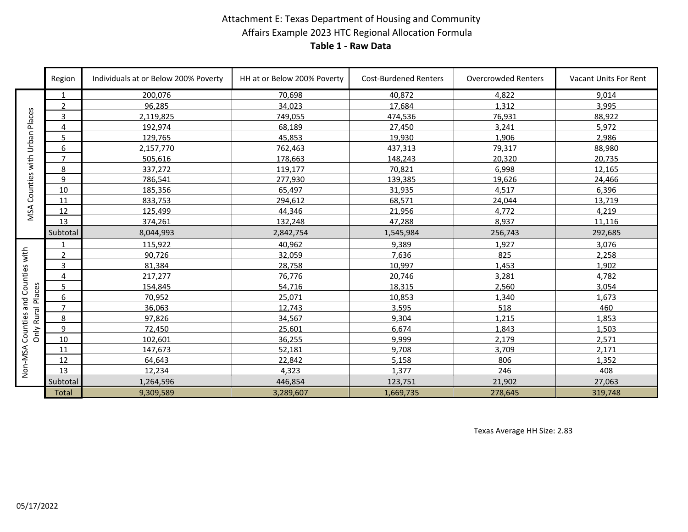### Attachment E: Texas Department of Housing and Community Affairs Example 2023 HTC Regional Allocation Formula **Table 1 - Raw Data**

|                 | Region         | Individuals at or Below 200% Poverty | HH at or Below 200% Poverty | <b>Cost-Burdened Renters</b> | Overcrowded Renters | <b>Vacant Units For Rent</b> |
|-----------------|----------------|--------------------------------------|-----------------------------|------------------------------|---------------------|------------------------------|
|                 | -1             | 200,076                              | 70,698                      | 40,872                       | 4,822               | 9,014                        |
|                 | $\overline{2}$ | 96,285                               | 34,023                      | 17,684                       | 1,312               | 3,995                        |
| Places<br>Urban | 3              | 2,119,825                            | 749,055                     | 474,536                      | 76,931              | 88,922                       |
|                 | 4              | 192,974                              | 68,189                      | 27,450                       | 3,241               | 5,972                        |
|                 | 5              | 129,765                              | 45,853                      | 19,930                       | 1,906               | 2,986                        |
|                 | 6              | 2,157,770                            | 762,463                     | 437,313                      | 79,317              | 88,980                       |
|                 | $\overline{7}$ | 505,616                              | 178,663                     | 148,243                      | 20,320              | 20,735                       |
|                 | 8              | 337,272                              | 119,177                     | 70,821                       | 6,998               | 12,165                       |
|                 | 9              | 786.541                              | 277,930                     | 139,385                      | 19,626              | 24,466                       |
| Counties with   | 10             | 185,356                              | 65,497                      | 31,935                       | 4,517               | 6,396                        |
|                 | 11             | 833,753                              | 294,612                     | 68,571                       | 24,044              | 13,719                       |
| MSA             | 12             | 125,499                              | 44,346                      | 21,956                       | 4.772               | 4.219                        |
|                 | 13             | 374,261                              | 132,248                     | 47,288                       | 8,937               | 11,116                       |
|                 | Subtotal       | 8,044,993                            | 2,842,754                   | 1,545,984                    | 256,743             | 292,685                      |
|                 | $\mathbf 1$    | 115,922                              | 40,962                      | 9.389                        | 1,927               | 3,076                        |
| Counties with   | 2              | 90,726                               | 32,059                      | 7,636                        | 825                 | 2,258                        |
|                 | 3              | 81,384                               | 28,758                      | 10,997                       | 1,453               | 1,902                        |
|                 | 4              | 217.277                              | 76,776                      | 20,746                       | 3.281               | 4.782                        |
|                 | 5              | 154,845                              | 54,716                      | 18,315                       | 2,560               | 3,054                        |
| Rural Places    | 6              | 70,952                               | 25,071                      | 10,853                       | 1,340               | 1,673                        |
|                 | $\overline{7}$ | 36.063                               | 12.743                      | 3,595                        | 518                 | 460                          |
| Counties and    | 8              | 97,826                               | 34,567                      | 9,304                        | 1,215               | 1,853                        |
| δnly            | 9              | 72,450                               | 25,601                      | 6,674                        | 1,843               | 1,503                        |
|                 | 10             | 102.601                              | 36,255                      | 9.999                        | 2.179               | 2.571                        |
|                 | 11             | 147,673                              | 52,181                      | 9.708                        | 3,709               | 2,171                        |
| Non-NSA         | 12             | 64,643                               | 22,842                      | 5,158                        | 806                 | 1,352                        |
|                 | 13             | 12,234                               | 4,323                       | 1.377                        | 246                 | 408                          |
|                 | Subtotal       | 1,264,596                            | 446,854                     | 123,751                      | 21,902              | 27,063                       |
|                 | <b>Total</b>   | 9,309,589                            | 3,289,607                   | 1,669,735                    | 278,645             | 319,748                      |

Texas Average HH Size: 2.83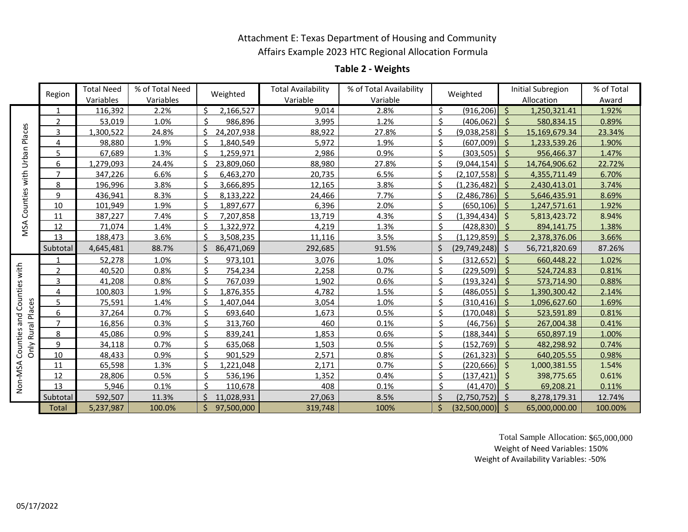### Attachment E: Texas Department of Housing and Community Affairs Example 2023 HTC Regional Allocation Formula

### **Table 2 - Weights**

|               | Region         | <b>Total Need</b> | % of Total Need | Weighted         | <b>Total Availability</b> | % of Total Availability |                    | Weighted            |              | <b>Initial Subregion</b> | % of Total |
|---------------|----------------|-------------------|-----------------|------------------|---------------------------|-------------------------|--------------------|---------------------|--------------|--------------------------|------------|
|               |                | Variables         | Variables       |                  | Variable                  | Variable                |                    |                     |              | Allocation               | Award      |
|               | 1              | 116,392           | 2.2%            | Ŝ.<br>2,166,527  | 9,014                     | 2.8%                    | Ś.                 | (916, 206)          | \$           | 1,250,321.41             | 1.92%      |
| Urban Places  | $\overline{2}$ | 53,019            | 1.0%            | ς<br>986,896     | 3,995                     | 1.2%                    | ς.                 | $(406, 062)$ \$     |              | 580,834.15               | 0.89%      |
|               | 3              | 1,300,522         | 24.8%           | ς<br>24,207,938  | 88,922                    | 27.8%                   | \$                 | $(9,038,258)$ \$    |              | 15,169,679.34            | 23.34%     |
|               | 4              | 98,880            | 1.9%            | \$<br>1,840,549  | 5,972                     | 1.9%                    | Ś                  | (607,009)           | -Ś           | 1,233,539.26             | 1.90%      |
|               | 5              | 67,689            | 1.3%            | \$<br>1,259,971  | 2,986                     | 0.9%                    | $\mathsf{\hat{S}}$ | $(303,505)$ \$      |              | 956,466.37               | 1.47%      |
|               | 6              | 1,279,093         | 24.4%           | ¢<br>23,809,060  | 88,980                    | 27.8%                   | \$                 | $(9.044.154)$ \$    |              | 14,764,906.62            | 22.72%     |
| with          | $\overline{7}$ | 347,226           | 6.6%            | \$<br>6,463,270  | 20.735                    | 6.5%                    | \$                 | $(2,107,558)$ \$    |              | 4,355,711.49             | 6.70%      |
|               | 8              | 196,996           | 3.8%            | \$<br>3,666,895  | 12,165                    | 3.8%                    | \$                 | (1, 236, 482)       | S.           | 2,430,413.01             | 3.74%      |
|               | 9              | 436,941           | 8.3%            | \$<br>8,133,222  | 24,466                    | 7.7%                    | Ś                  | $(2,486,786)$ \$    |              | 5,646,435.91             | 8.69%      |
| Counties      | 10             | 101,949           | 1.9%            | \$<br>1,897,677  | 6,396                     | 2.0%                    | \$                 | (650, 106)          | -Ś           | 1,247,571.61             | 1.92%      |
|               | 11             | 387,227           | 7.4%            | \$<br>7,207,858  | 13,719                    | 4.3%                    | \$                 | (1,394,434)         | -Ś           | 5,813,423.72             | 8.94%      |
| MSA           | 12             | 71,074            | 1.4%            | ς<br>1,322,972   | 4,219                     | 1.3%                    | $\mathsf{\hat{S}}$ | (428, 830)          | - \$         | 894,141.75               | 1.38%      |
|               | 13             | 188,473           | 3.6%            | \$<br>3,508,235  | 11,116                    | 3.5%                    | Ś.                 | $(1, 129, 859)$ \$  |              | 2,378,376.06             | 3.66%      |
|               | Subtotal       | 4,645,481         | 88.7%           | 86,471,069<br>Ś  | 292,685                   | 91.5%                   | Ś                  | $(29, 749, 248)$ \$ |              | 56,721,820.69            | 87.26%     |
|               |                | 52,278            | 1.0%            | ς<br>973,101     | 3,076                     | 1.0%                    | Ś.                 | (312, 652)          | -Ś           | 660,448.22               | 1.02%      |
| Counties with | $\mathfrak{p}$ | 40,520            | 0.8%            | Ś.<br>754,234    | 2,258                     | 0.7%                    | $\mathcal{S}$      | $(229,509)$ \$      |              | 524,724.83               | 0.81%      |
|               | 3              | 41,208            | 0.8%            | \$<br>767,039    | 1,902                     | 0.6%                    | \$                 | $(193, 324)$ \$     |              | 573,714.90               | 0.88%      |
|               | 4              | 100,803           | 1.9%            | \$<br>1,876,355  | 4,782                     | 1.5%                    | ς.                 | (486, 055)          | -Ś           | 1,390,300.42             | 2.14%      |
|               | 5              | 75,591            | 1.4%            | \$<br>1,407,044  | 3,054                     | 1.0%                    | Ś.                 | (310, 416)          | -Ś           | 1,096,627.60             | 1.69%      |
| Places        | 6              | 37,264            | 0.7%            | ς<br>693,640     | 1,673                     | 0.5%                    | Ś.                 | $(170, 048)$ \$     |              | 523,591.89               | 0.81%      |
| and           | 7              | 16,856            | 0.3%            | <<br>313,760     | 460                       | 0.1%                    | ς.                 | $(46, 756)$ \$      |              | 267,004.38               | 0.41%      |
| Only Rural    | 8              | 45,086            | 0.9%            | \$<br>839,241    | 1,853                     | 0.6%                    | \$                 | (188, 344)          | -Ś           | 650,897.19               | 1.00%      |
|               | 9              | 34.118            | 0.7%            | ς<br>635,068     | 1,503                     | 0.5%                    | \$                 | $(152, 769)$ \$     |              | 482,298.92               | 0.74%      |
| Counties      | 10             | 48,433            | 0.9%            | ς<br>901,529     | 2,571                     | 0.8%                    | Ś.                 | $(261, 323)$ \$     |              | 640,205.55               | 0.98%      |
|               | 11             | 65,598            | 1.3%            | ¢<br>,221,048    | 2,171                     | 0.7%                    | \$                 | $(220, 666)$ \$     |              | 1,000,381.55             | 1.54%      |
|               | 12             | 28,806            | 0.5%            | Ś.<br>536,196    | 1,352                     | 0.4%                    | \$.                | (137, 421)          | -Ś           | 398,775.65               | 0.61%      |
| Non-MSA       | 13             | 5,946             | 0.1%            | ς<br>110,678     | 408                       | 0.1%                    | Ŝ.                 | $(41, 470)$ \$      |              | 69,208.21                | 0.11%      |
|               | Subtotal       | 592,507           | 11.3%           | ς<br>11,028,931  | 27,063                    | 8.5%                    |                    | $(2,750,752)$ \$    |              | 8,278,179.31             | 12.74%     |
|               | Total          | 5,237,987         | 100.0%          | \$<br>97,500,000 | 319,748                   | 100%                    | $\zeta$            | (32,500,000)        | $\mathsf{S}$ | 65,000,000.00            | 100.00%    |

Total Sample Allocation: \$65,000,000 Weight of Need Variables: 150% Weight of Availability Variables: -50%